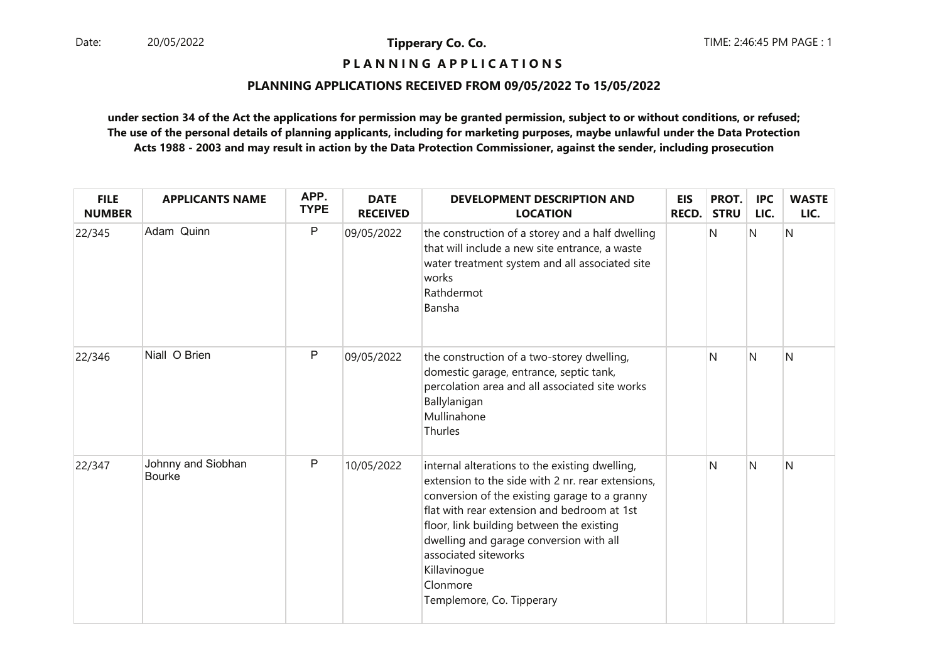# **P L A N N I N G A P P L I C A T I O N S**

#### **PLANNING APPLICATIONS RECEIVED FROM 09/05/2022 To 15/05/2022**

| <b>FILE</b><br><b>NUMBER</b> | <b>APPLICANTS NAME</b>              | APP.<br><b>TYPE</b> | <b>DATE</b><br><b>RECEIVED</b> | <b>DEVELOPMENT DESCRIPTION AND</b><br><b>LOCATION</b>                                                                                                                                                                                                                                                                                                                        | <b>EIS</b><br>RECD. | PROT.<br><b>STRU</b> | <b>IPC</b><br>LIC. | <b>WASTE</b><br>LIC. |
|------------------------------|-------------------------------------|---------------------|--------------------------------|------------------------------------------------------------------------------------------------------------------------------------------------------------------------------------------------------------------------------------------------------------------------------------------------------------------------------------------------------------------------------|---------------------|----------------------|--------------------|----------------------|
| 22/345                       | Adam Quinn                          | $\mathsf{P}$        | 09/05/2022                     | the construction of a storey and a half dwelling<br>that will include a new site entrance, a waste<br>water treatment system and all associated site<br>works<br>Rathdermot<br>Bansha                                                                                                                                                                                        |                     | $\mathsf{N}$         | N                  | N                    |
| 22/346                       | Niall O Brien                       | $\mathsf{P}$        | 09/05/2022                     | the construction of a two-storey dwelling,<br>domestic garage, entrance, septic tank,<br>percolation area and all associated site works<br>Ballylanigan<br>Mullinahone<br>Thurles                                                                                                                                                                                            |                     | N                    | N                  | N                    |
| 22/347                       | Johnny and Siobhan<br><b>Bourke</b> | P                   | 10/05/2022                     | internal alterations to the existing dwelling,<br>extension to the side with 2 nr. rear extensions,<br>conversion of the existing garage to a granny<br>flat with rear extension and bedroom at 1st<br>floor, link building between the existing<br>dwelling and garage conversion with all<br>associated siteworks<br>Killavinogue<br>Clonmore<br>Templemore, Co. Tipperary |                     | N                    | N                  | N                    |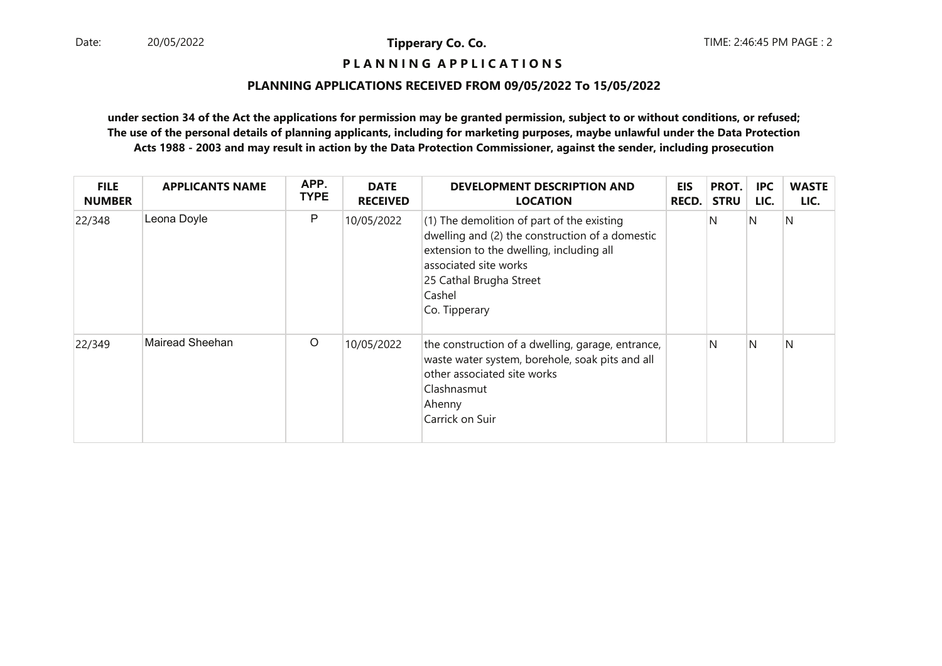**P L A N N I N G A P P L I C A T I O N S** 

#### **PLANNING APPLICATIONS RECEIVED FROM 09/05/2022 To 15/05/2022**

| <b>FILE</b><br><b>NUMBER</b> | <b>APPLICANTS NAME</b> | APP.<br><b>TYPE</b> | <b>DATE</b><br><b>RECEIVED</b> | DEVELOPMENT DESCRIPTION AND<br><b>LOCATION</b>                                                                                                                                                                             | <b>EIS</b><br><b>RECD.</b> | PROT.<br><b>STRU</b> | IPC<br>LIC. | <b>WASTE</b><br>LIC. |
|------------------------------|------------------------|---------------------|--------------------------------|----------------------------------------------------------------------------------------------------------------------------------------------------------------------------------------------------------------------------|----------------------------|----------------------|-------------|----------------------|
| 22/348                       | Leona Doyle            | P                   | 10/05/2022                     | $(1)$ The demolition of part of the existing<br>dwelling and (2) the construction of a domestic<br>extension to the dwelling, including all<br>associated site works<br>25 Cathal Brugha Street<br>Cashel<br>Co. Tipperary |                            | N                    | N.          | N                    |
| 22/349                       | Mairead Sheehan        | $\circ$             | 10/05/2022                     | the construction of a dwelling, garage, entrance,<br>waste water system, borehole, soak pits and all<br>other associated site works<br>Clashnasmut<br>Ahenny<br>Carrick on Suir                                            |                            | N                    | N           | N                    |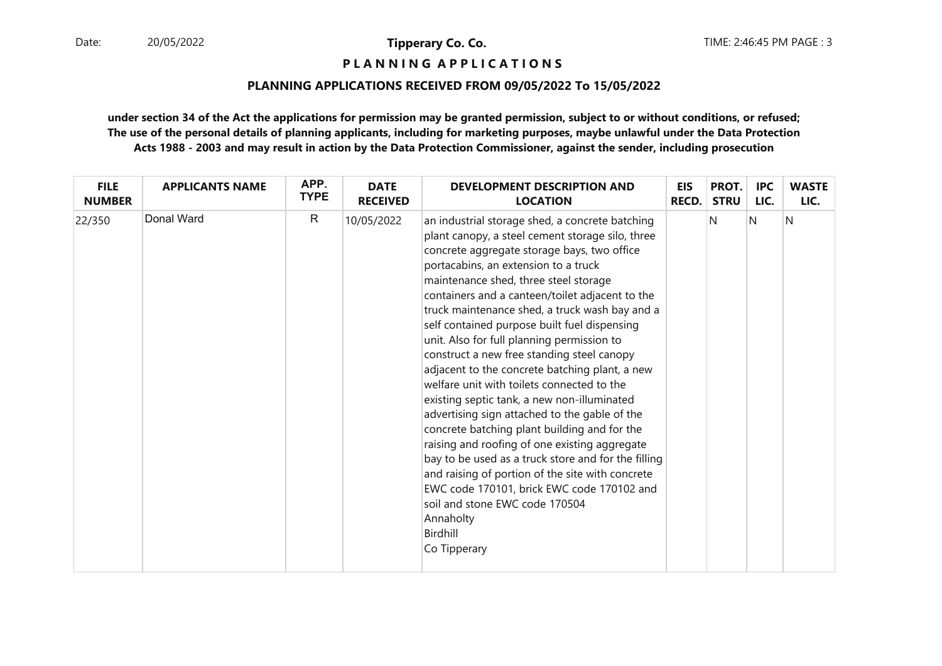# **P L A N N I N G A P P L I C A T I O N S**

#### **PLANNING APPLICATIONS RECEIVED FROM 09/05/2022 To 15/05/2022**

| <b>FILE</b>   | <b>APPLICANTS NAME</b> | APP.         | <b>DATE</b>     | <b>DEVELOPMENT DESCRIPTION AND</b>                                                                                                                                                                                                                                                                                                                                                                                                                                                                                                                                                                                                                                                                                                                                                                                                                                                                                                                                                                                        | <b>EIS</b>   | PROT.       | <b>IPC</b> | <b>WASTE</b> |
|---------------|------------------------|--------------|-----------------|---------------------------------------------------------------------------------------------------------------------------------------------------------------------------------------------------------------------------------------------------------------------------------------------------------------------------------------------------------------------------------------------------------------------------------------------------------------------------------------------------------------------------------------------------------------------------------------------------------------------------------------------------------------------------------------------------------------------------------------------------------------------------------------------------------------------------------------------------------------------------------------------------------------------------------------------------------------------------------------------------------------------------|--------------|-------------|------------|--------------|
| <b>NUMBER</b> |                        | <b>TYPE</b>  | <b>RECEIVED</b> | <b>LOCATION</b>                                                                                                                                                                                                                                                                                                                                                                                                                                                                                                                                                                                                                                                                                                                                                                                                                                                                                                                                                                                                           | <b>RECD.</b> | <b>STRU</b> | LIC.       | LIC.         |
| 22/350        | Donal Ward             | $\mathsf{R}$ | 10/05/2022      | an industrial storage shed, a concrete batching<br>plant canopy, a steel cement storage silo, three<br>concrete aggregate storage bays, two office<br>portacabins, an extension to a truck<br>maintenance shed, three steel storage<br>containers and a canteen/toilet adjacent to the<br>truck maintenance shed, a truck wash bay and a<br>self contained purpose built fuel dispensing<br>unit. Also for full planning permission to<br>construct a new free standing steel canopy<br>adjacent to the concrete batching plant, a new<br>welfare unit with toilets connected to the<br>existing septic tank, a new non-illuminated<br>advertising sign attached to the gable of the<br>concrete batching plant building and for the<br>raising and roofing of one existing aggregate<br>bay to be used as a truck store and for the filling<br>and raising of portion of the site with concrete<br>EWC code 170101, brick EWC code 170102 and<br>soil and stone EWC code 170504<br>Annaholty<br>Birdhill<br>Co Tipperary |              | N           | N          | N            |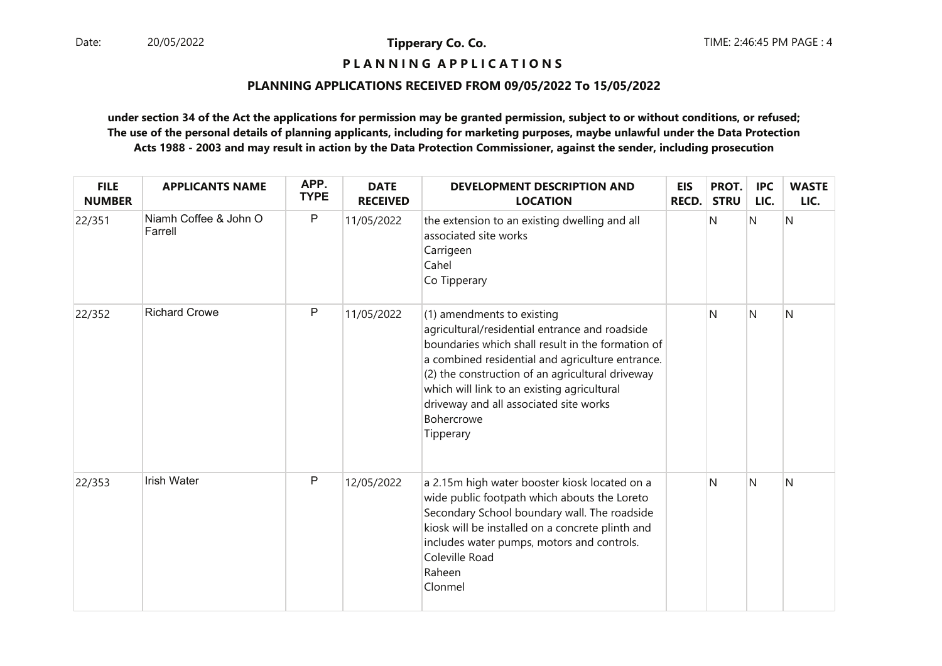# **P L A N N I N G A P P L I C A T I O N S**

#### **PLANNING APPLICATIONS RECEIVED FROM 09/05/2022 To 15/05/2022**

| <b>FILE</b><br><b>NUMBER</b> | <b>APPLICANTS NAME</b>           | APP.<br><b>TYPE</b> | <b>DATE</b><br><b>RECEIVED</b> | <b>DEVELOPMENT DESCRIPTION AND</b><br><b>LOCATION</b>                                                                                                                                                                                                                                                                                                                | <b>EIS</b><br><b>RECD.</b> | PROT.<br><b>STRU</b> | <b>IPC</b><br>LIC. | <b>WASTE</b><br>LIC. |
|------------------------------|----------------------------------|---------------------|--------------------------------|----------------------------------------------------------------------------------------------------------------------------------------------------------------------------------------------------------------------------------------------------------------------------------------------------------------------------------------------------------------------|----------------------------|----------------------|--------------------|----------------------|
| 22/351                       | Niamh Coffee & John O<br>Farrell | $\mathsf{P}$        | 11/05/2022                     | the extension to an existing dwelling and all<br>associated site works<br>Carrigeen<br>Cahel<br>Co Tipperary                                                                                                                                                                                                                                                         |                            | N                    | N                  | N                    |
| 22/352                       | <b>Richard Crowe</b>             | $\mathsf{P}$        | 11/05/2022                     | (1) amendments to existing<br>agricultural/residential entrance and roadside<br>boundaries which shall result in the formation of<br>a combined residential and agriculture entrance.<br>(2) the construction of an agricultural driveway<br>which will link to an existing agricultural<br>driveway and all associated site works<br><b>Bohercrowe</b><br>Tipperary |                            | N                    | $\mathsf{N}$       | N                    |
| 22/353                       | <b>Irish Water</b>               | $\mathsf{P}$        | 12/05/2022                     | a 2.15m high water booster kiosk located on a<br>wide public footpath which abouts the Loreto<br>Secondary School boundary wall. The roadside<br>kiosk will be installed on a concrete plinth and<br>includes water pumps, motors and controls.<br>Coleville Road<br>Raheen<br>Clonmel                                                                               |                            | N                    | $\overline{N}$     | N                    |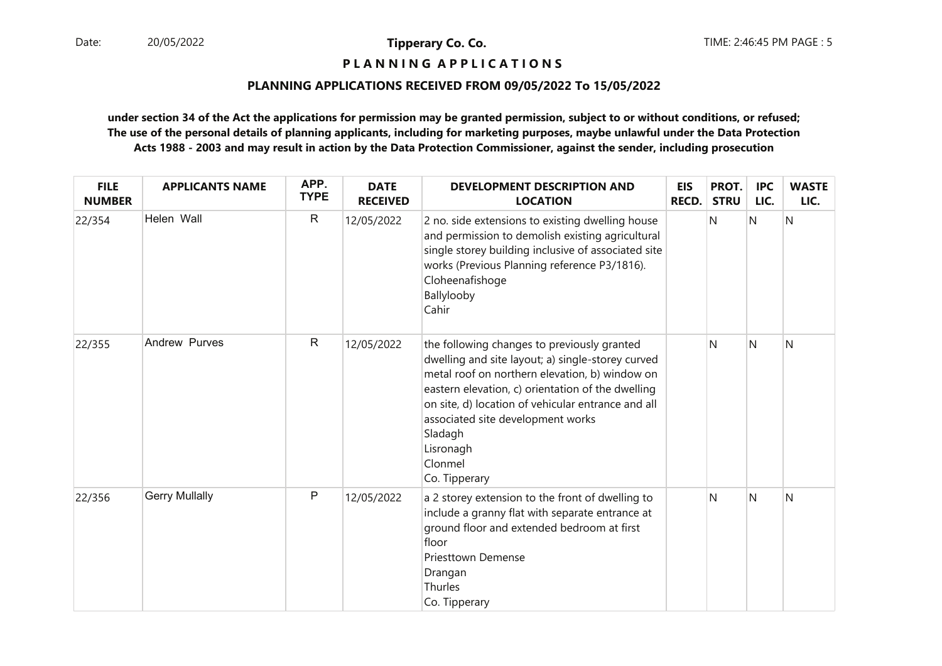**P L A N N I N G A P P L I C A T I O N S** 

#### **PLANNING APPLICATIONS RECEIVED FROM 09/05/2022 To 15/05/2022**

| <b>FILE</b><br><b>NUMBER</b> | <b>APPLICANTS NAME</b> | APP.<br><b>TYPE</b> | <b>DATE</b><br><b>RECEIVED</b> | <b>DEVELOPMENT DESCRIPTION AND</b><br><b>LOCATION</b>                                                                                                                                                                                                                                                                                                  | <b>EIS</b><br><b>RECD.</b> | PROT.<br><b>STRU</b> | <b>IPC</b><br>LIC. | <b>WASTE</b><br>LIC. |
|------------------------------|------------------------|---------------------|--------------------------------|--------------------------------------------------------------------------------------------------------------------------------------------------------------------------------------------------------------------------------------------------------------------------------------------------------------------------------------------------------|----------------------------|----------------------|--------------------|----------------------|
| 22/354                       | Helen Wall             | $\mathsf{R}$        | 12/05/2022                     | 2 no. side extensions to existing dwelling house<br>and permission to demolish existing agricultural<br>single storey building inclusive of associated site<br>works (Previous Planning reference P3/1816).<br>Cloheenafishoge<br>Ballylooby<br>Cahir                                                                                                  |                            | N                    | $\overline{N}$     | N                    |
| 22/355                       | Andrew Purves          | $\mathsf{R}$        | 12/05/2022                     | the following changes to previously granted<br>dwelling and site layout; a) single-storey curved<br>metal roof on northern elevation, b) window on<br>eastern elevation, c) orientation of the dwelling<br>on site, d) location of vehicular entrance and all<br>associated site development works<br>Sladagh<br>Lisronagh<br>Clonmel<br>Co. Tipperary |                            | N                    | N                  | N                    |
| 22/356                       | <b>Gerry Mullally</b>  | P                   | 12/05/2022                     | a 2 storey extension to the front of dwelling to<br>include a granny flat with separate entrance at<br>ground floor and extended bedroom at first<br>floor<br><b>Priesttown Demense</b><br>Drangan<br>Thurles<br>Co. Tipperary                                                                                                                         |                            | N                    | $\mathsf{N}$       | N                    |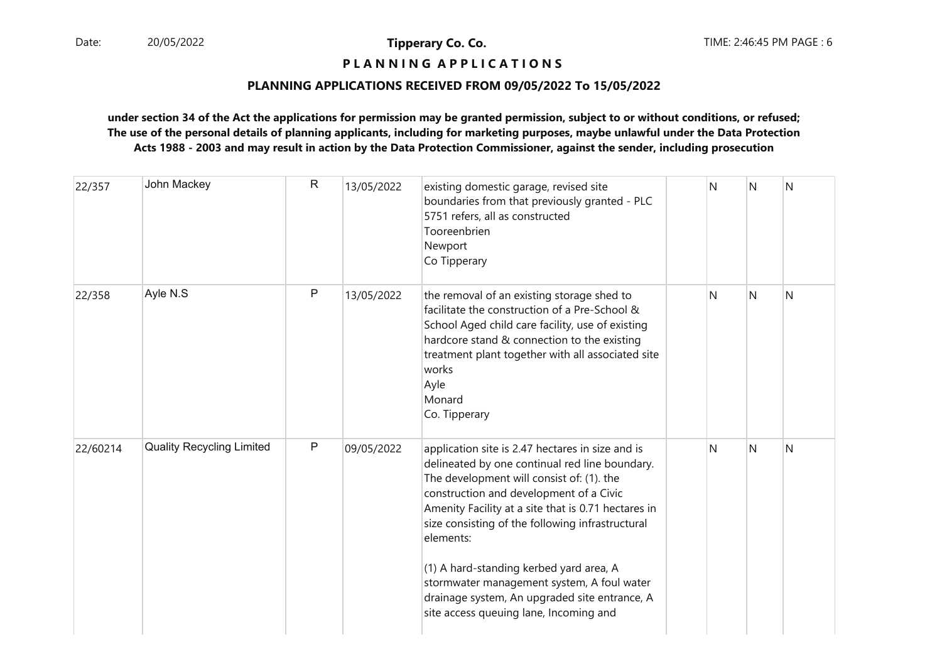# **P L A N N I N G A P P L I C A T I O N S**

#### **PLANNING APPLICATIONS RECEIVED FROM 09/05/2022 To 15/05/2022**

| 22/357   | John Mackey                      | $\mathsf{R}$ | 13/05/2022 | existing domestic garage, revised site<br>boundaries from that previously granted - PLC<br>5751 refers, all as constructed<br>Tooreenbrien<br>Newport<br>Co Tipperary                                                                                                                                                                                                                                                                                                                                  | N | N | N |
|----------|----------------------------------|--------------|------------|--------------------------------------------------------------------------------------------------------------------------------------------------------------------------------------------------------------------------------------------------------------------------------------------------------------------------------------------------------------------------------------------------------------------------------------------------------------------------------------------------------|---|---|---|
| 22/358   | Ayle N.S                         | $\mathsf{P}$ | 13/05/2022 | the removal of an existing storage shed to<br>facilitate the construction of a Pre-School &<br>School Aged child care facility, use of existing<br>hardcore stand & connection to the existing<br>treatment plant together with all associated site<br>works<br>Ayle<br>Monard<br>Co. Tipperary                                                                                                                                                                                                        | N | N | N |
| 22/60214 | <b>Quality Recycling Limited</b> | $\mathsf{P}$ | 09/05/2022 | application site is 2.47 hectares in size and is<br>delineated by one continual red line boundary.<br>The development will consist of: (1). the<br>construction and development of a Civic<br>Amenity Facility at a site that is 0.71 hectares in<br>size consisting of the following infrastructural<br>elements:<br>(1) A hard-standing kerbed yard area, A<br>stormwater management system, A foul water<br>drainage system, An upgraded site entrance, A<br>site access queuing lane, Incoming and | N | N | N |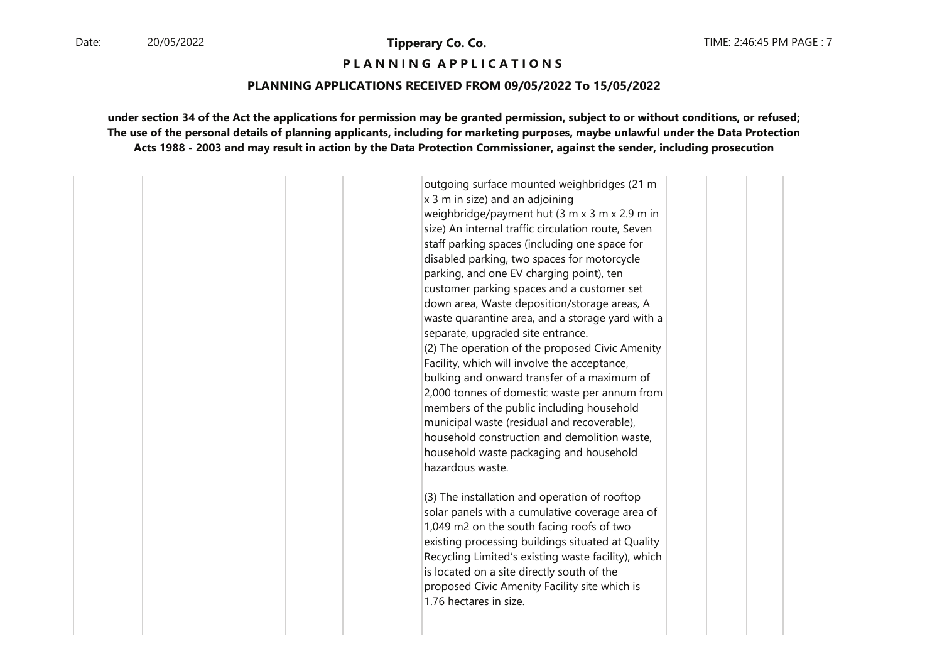#### **P L A N N I N G A P P L I C A T I O N S**

#### **PLANNING APPLICATIONS RECEIVED FROM 09/05/2022 To 15/05/2022**

**under section 34 of the Act the applications for permission may be granted permission, subject to or without conditions, or refused;The use of the personal details of planning applicants, including for marketing purposes, maybe unlawful under the Data ProtectionActs 1988 - 2003 and may result in action by the Data Protection Commissioner, against the sender, including prosecution**

> outgoing surface mounted weighbridges (21 m  $x$  3 m in size) and an adjoining weighbridge/payment hut (3 m x 3 m x 2.9 m in size) An internal traffic circulation route, Seven staff parking spaces (including one space for disabled parking, two spaces for motorcycle parking, and one EV charging point), ten customer parking spaces and a customer set down area, Waste deposition/storage areas, A waste quarantine area, and a storage yard with a separate, upgraded site entrance. (2) The operation of the proposed Civic Amenity Facility, which will involve the acceptance, bulking and onward transfer of a maximum of 2,000 tonnes of domestic waste per annum from members of the public including household municipal waste (residual and recoverable), household construction and demolition waste, household waste packaging and household hazardous waste.

(3) The installation and operation of rooftop solar panels with a cumulative coverage area of 1,049 m2 on the south facing roofs of two existing processing buildings situated at Quality Recycling Limited's existing waste facility), which is located on a site directly south of the proposed Civic Amenity Facility site which is 1.76 hectares in size.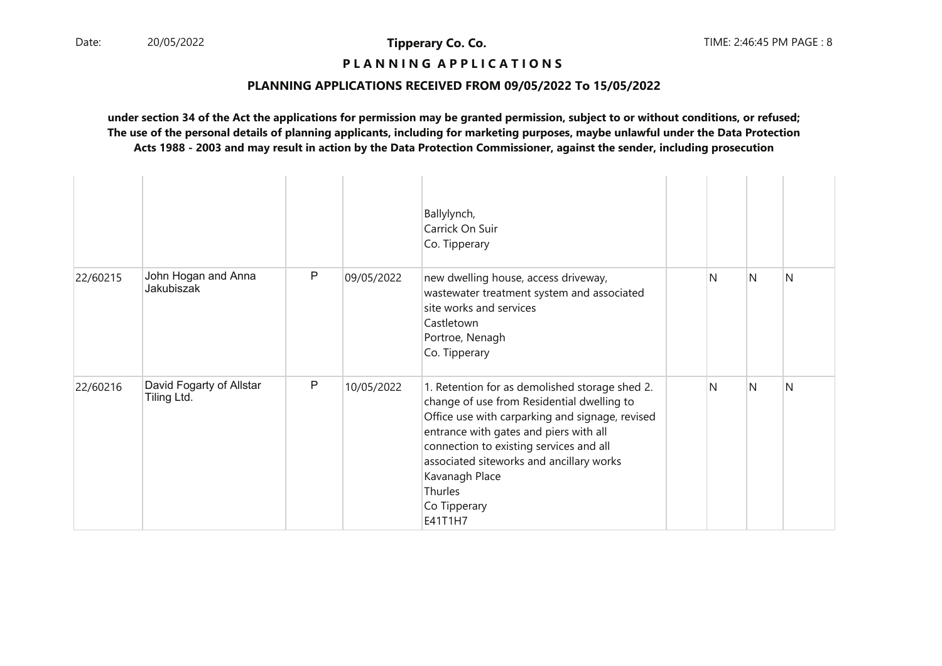# **P L A N N I N G A P P L I C A T I O N S**

#### **PLANNING APPLICATIONS RECEIVED FROM 09/05/2022 To 15/05/2022**

|          |                                         |              |            | Ballylynch,<br>Carrick On Suir<br>Co. Tipperary                                                                                                                                                                                                                                                                                          |   |   |   |
|----------|-----------------------------------------|--------------|------------|------------------------------------------------------------------------------------------------------------------------------------------------------------------------------------------------------------------------------------------------------------------------------------------------------------------------------------------|---|---|---|
| 22/60215 | John Hogan and Anna<br>Jakubiszak       | $\mathsf{P}$ | 09/05/2022 | new dwelling house, access driveway,<br>wastewater treatment system and associated<br>site works and services<br>Castletown<br>Portroe, Nenagh<br>Co. Tipperary                                                                                                                                                                          | N | N | N |
| 22/60216 | David Fogarty of Allstar<br>Tiling Ltd. | $\mathsf{P}$ | 10/05/2022 | 1. Retention for as demolished storage shed 2.<br>change of use from Residential dwelling to<br>Office use with carparking and signage, revised<br>entrance with gates and piers with all<br>connection to existing services and all<br>associated siteworks and ancillary works<br>Kavanagh Place<br>Thurles<br>Co Tipperary<br>E41T1H7 | N | N | N |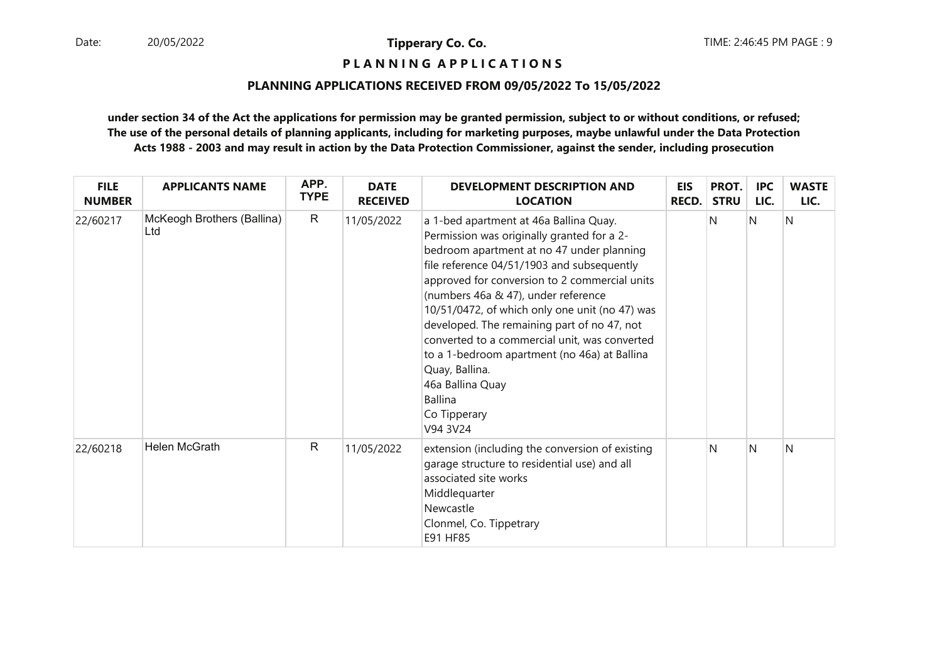**P L A N N I N G A P P L I C A T I O N S** 

#### **PLANNING APPLICATIONS RECEIVED FROM 09/05/2022 To 15/05/2022**

| <b>FILE</b><br><b>NUMBER</b> | <b>APPLICANTS NAME</b>            | APP.<br><b>TYPE</b> | <b>DATE</b><br><b>RECEIVED</b> | DEVELOPMENT DESCRIPTION AND<br><b>LOCATION</b>                                                                                                                                                                                                                                                                                                                                                                                                                                                                                                                | <b>EIS</b><br><b>RECD.</b> | PROT.<br><b>STRU</b> | <b>IPC</b><br>LIC. | <b>WASTE</b><br>LIC. |
|------------------------------|-----------------------------------|---------------------|--------------------------------|---------------------------------------------------------------------------------------------------------------------------------------------------------------------------------------------------------------------------------------------------------------------------------------------------------------------------------------------------------------------------------------------------------------------------------------------------------------------------------------------------------------------------------------------------------------|----------------------------|----------------------|--------------------|----------------------|
| 22/60217                     | McKeogh Brothers (Ballina)<br>Ltd | $\mathsf{R}$        | 11/05/2022                     | a 1-bed apartment at 46a Ballina Quay.<br>Permission was originally granted for a 2-<br>bedroom apartment at no 47 under planning<br>file reference 04/51/1903 and subsequently<br>approved for conversion to 2 commercial units<br>(numbers 46a & 47), under reference<br>10/51/0472, of which only one unit (no 47) was<br>developed. The remaining part of no 47, not<br>converted to a commercial unit, was converted<br>to a 1-bedroom apartment (no 46a) at Ballina<br>Quay, Ballina.<br>46a Ballina Quay<br><b>Ballina</b><br>Co Tipperary<br>V94 3V24 |                            | N                    | $\mathsf{N}$       | N                    |
| 22/60218                     | Helen McGrath                     | $\mathsf{R}$        | 11/05/2022                     | extension (including the conversion of existing<br>garage structure to residential use) and all<br>associated site works<br>Middlequarter<br>Newcastle<br>Clonmel, Co. Tippetrary<br>E91 HF85                                                                                                                                                                                                                                                                                                                                                                 |                            | N                    | N                  | N                    |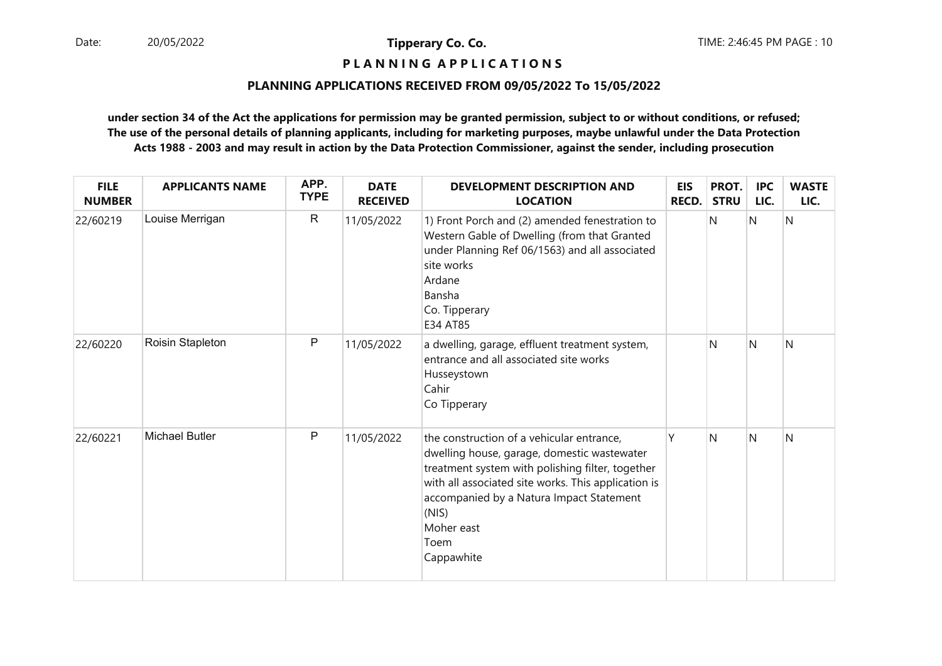# **P L A N N I N G A P P L I C A T I O N S**

#### **PLANNING APPLICATIONS RECEIVED FROM 09/05/2022 To 15/05/2022**

| <b>FILE</b><br><b>NUMBER</b> | <b>APPLICANTS NAME</b> | APP.<br><b>TYPE</b> | <b>DATE</b><br><b>RECEIVED</b> | <b>DEVELOPMENT DESCRIPTION AND</b><br><b>LOCATION</b>                                                                                                                                                                                                                                        | <b>EIS</b><br>RECD. | PROT.<br><b>STRU</b> | <b>IPC</b><br>LIC. | <b>WASTE</b><br>LIC. |
|------------------------------|------------------------|---------------------|--------------------------------|----------------------------------------------------------------------------------------------------------------------------------------------------------------------------------------------------------------------------------------------------------------------------------------------|---------------------|----------------------|--------------------|----------------------|
| 22/60219                     | Louise Merrigan        | $\mathsf{R}$        | 11/05/2022                     | 1) Front Porch and (2) amended fenestration to<br>Western Gable of Dwelling (from that Granted<br>under Planning Ref 06/1563) and all associated<br>site works<br>Ardane<br>Bansha<br>Co. Tipperary<br>E34 AT85                                                                              |                     | N                    | N                  | N                    |
| 22/60220                     | Roisin Stapleton       | P                   | 11/05/2022                     | a dwelling, garage, effluent treatment system,<br>entrance and all associated site works<br>Husseystown<br>Cahir<br>Co Tipperary                                                                                                                                                             |                     | N                    | N                  | N                    |
| 22/60221                     | <b>Michael Butler</b>  | P                   | 11/05/2022                     | the construction of a vehicular entrance,<br>dwelling house, garage, domestic wastewater<br>treatment system with polishing filter, together<br>with all associated site works. This application is<br>accompanied by a Natura Impact Statement<br>(NIS)<br>Moher east<br>Toem<br>Cappawhite | Υ                   | N                    | N                  | N                    |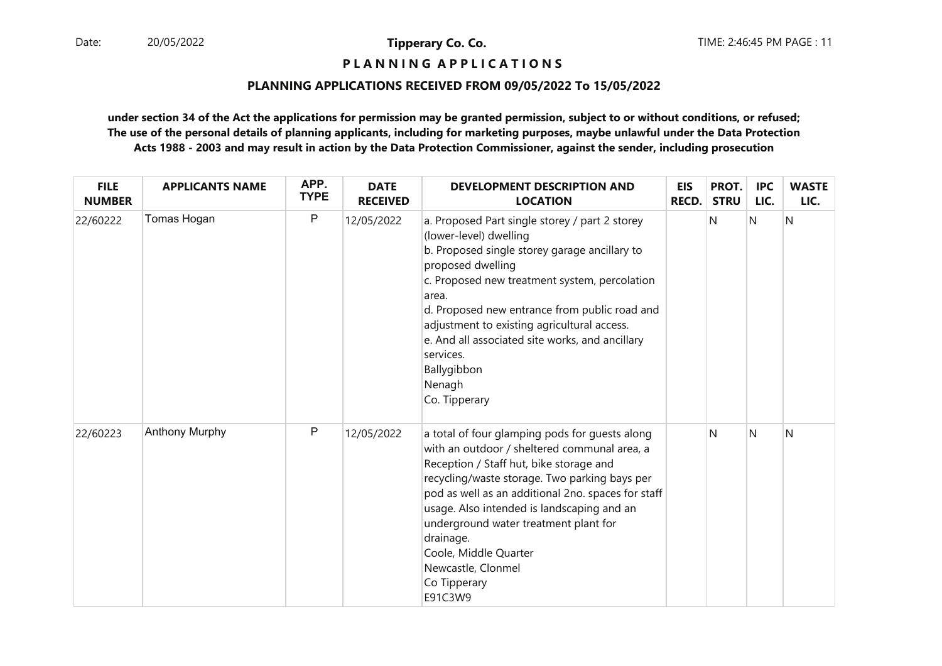# **P L A N N I N G A P P L I C A T I O N S**

#### **PLANNING APPLICATIONS RECEIVED FROM 09/05/2022 To 15/05/2022**

| <b>FILE</b><br><b>NUMBER</b> | <b>APPLICANTS NAME</b> | APP.<br><b>TYPE</b> | <b>DATE</b><br><b>RECEIVED</b> | <b>DEVELOPMENT DESCRIPTION AND</b><br><b>LOCATION</b>                                                                                                                                                                                                                                                                                                                                                                          | EIS<br><b>RECD.</b> | PROT.<br><b>STRU</b> | <b>IPC</b><br>LIC. | <b>WASTE</b><br>LIC. |
|------------------------------|------------------------|---------------------|--------------------------------|--------------------------------------------------------------------------------------------------------------------------------------------------------------------------------------------------------------------------------------------------------------------------------------------------------------------------------------------------------------------------------------------------------------------------------|---------------------|----------------------|--------------------|----------------------|
| 22/60222                     | Tomas Hogan            | P                   | 12/05/2022                     | a. Proposed Part single storey / part 2 storey<br>(lower-level) dwelling<br>b. Proposed single storey garage ancillary to<br>proposed dwelling<br>c. Proposed new treatment system, percolation<br>area.<br>d. Proposed new entrance from public road and<br>adjustment to existing agricultural access.<br>e. And all associated site works, and ancillary<br>services.<br>Ballygibbon<br>Nenagh<br>Co. Tipperary             |                     | N                    | N                  | N                    |
| 22/60223                     | Anthony Murphy         | $\mathsf{P}$        | 12/05/2022                     | a total of four glamping pods for guests along<br>with an outdoor / sheltered communal area, a<br>Reception / Staff hut, bike storage and<br>recycling/waste storage. Two parking bays per<br>pod as well as an additional 2no. spaces for staff<br>usage. Also intended is landscaping and an<br>underground water treatment plant for<br>drainage.<br>Coole, Middle Quarter<br>Newcastle, Clonmel<br>Co Tipperary<br>E91C3W9 |                     | N                    | <sup>N</sup>       | N                    |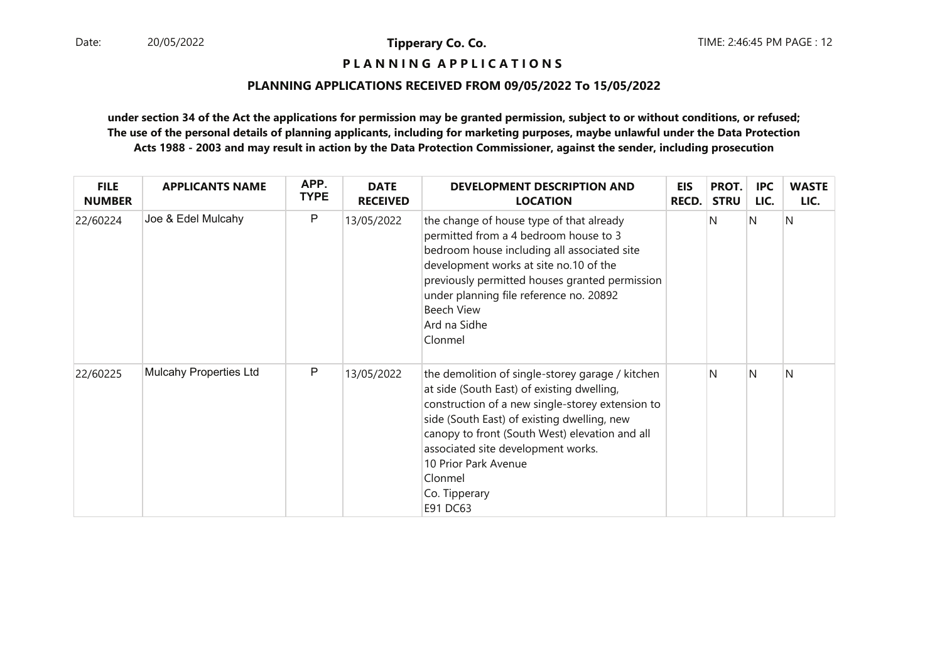# **P L A N N I N G A P P L I C A T I O N S**

#### **PLANNING APPLICATIONS RECEIVED FROM 09/05/2022 To 15/05/2022**

| <b>FILE</b><br><b>NUMBER</b> | <b>APPLICANTS NAME</b> | APP.<br><b>TYPE</b> | <b>DATE</b><br><b>RECEIVED</b> | <b>DEVELOPMENT DESCRIPTION AND</b><br><b>LOCATION</b>                                                                                                                                                                                                                                                                                                     | EIS<br><b>RECD.</b> | PROT.<br><b>STRU</b> | <b>IPC</b><br>LIC. | <b>WASTE</b><br>LIC. |
|------------------------------|------------------------|---------------------|--------------------------------|-----------------------------------------------------------------------------------------------------------------------------------------------------------------------------------------------------------------------------------------------------------------------------------------------------------------------------------------------------------|---------------------|----------------------|--------------------|----------------------|
| 22/60224                     | Joe & Edel Mulcahy     | P                   | 13/05/2022                     | the change of house type of that already<br>permitted from a 4 bedroom house to 3<br>bedroom house including all associated site<br>development works at site no.10 of the<br>previously permitted houses granted permission<br>under planning file reference no. 20892<br>Beech View<br>Ard na Sidhe<br>Clonmel                                          |                     | N                    | N                  | N                    |
| 22/60225                     | Mulcahy Properties Ltd | P                   | 13/05/2022                     | the demolition of single-storey garage / kitchen<br>at side (South East) of existing dwelling,<br>construction of a new single-storey extension to<br>side (South East) of existing dwelling, new<br>canopy to front (South West) elevation and all<br>associated site development works.<br>10 Prior Park Avenue<br>Clonmel<br>Co. Tipperary<br>E91 DC63 |                     | N                    | <sup>N</sup>       | N                    |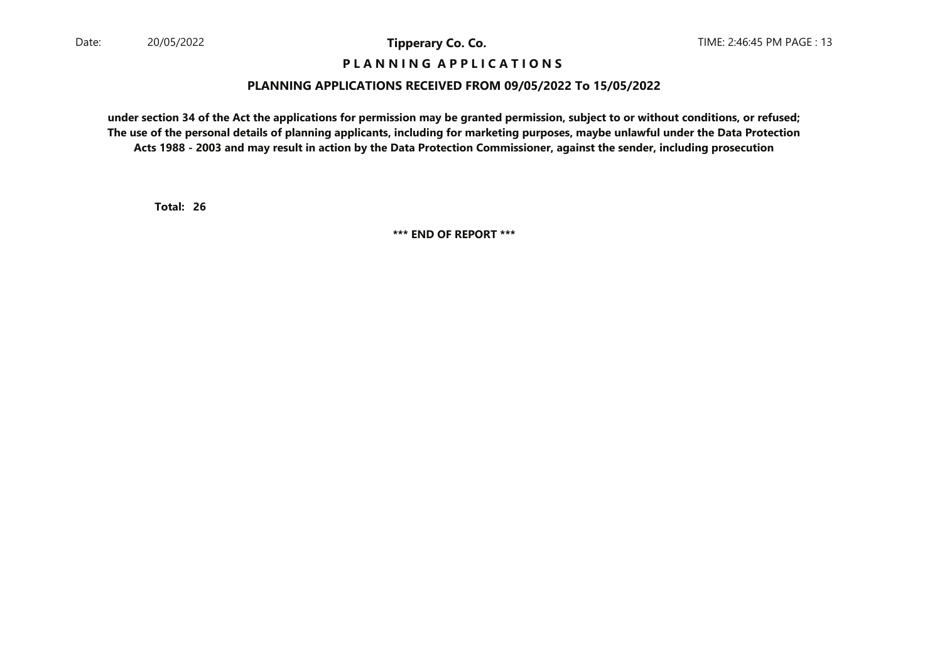#### **P L A N N I N G A P P L I C A T I O N S**

#### **PLANNING APPLICATIONS RECEIVED FROM 09/05/2022 To 15/05/2022**

**under section 34 of the Act the applications for permission may be granted permission, subject to or without conditions, or refused; The use of the personal details of planning applicants, including for marketing purposes, maybe unlawful under the Data ProtectionActs 1988 - 2003 and may result in action by the Data Protection Commissioner, against the sender, including prosecution**

**26Total:**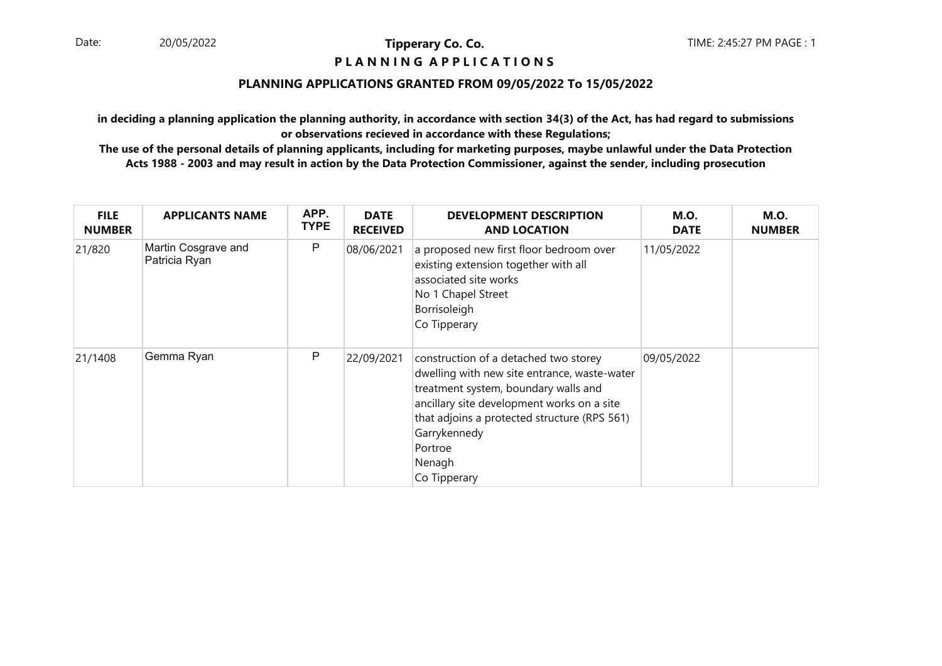#### **P L A N N I N G A P P L I C A T I O N S**

#### **PLANNING APPLICATIONS GRANTED FROM 09/05/2022 To 15/05/2022**

**in deciding a planning application the planning authority, in accordance with section 34(3) of the Act, has had regard to submissionsor observations recieved in accordance with these Regulations;**

| <b>FILE</b><br><b>NUMBER</b> | <b>APPLICANTS NAME</b>               | APP.<br><b>TYPE</b> | <b>DATE</b><br><b>RECEIVED</b> | <b>DEVELOPMENT DESCRIPTION</b><br><b>AND LOCATION</b>                                                                                                                                                                                                                            | <b>M.O.</b><br><b>DATE</b> | <b>M.O.</b><br><b>NUMBER</b> |
|------------------------------|--------------------------------------|---------------------|--------------------------------|----------------------------------------------------------------------------------------------------------------------------------------------------------------------------------------------------------------------------------------------------------------------------------|----------------------------|------------------------------|
| 21/820                       | Martin Cosgrave and<br>Patricia Ryan | P                   | 08/06/2021                     | a proposed new first floor bedroom over<br>existing extension together with all<br>associated site works<br>No 1 Chapel Street<br>Borrisoleigh<br>Co Tipperary                                                                                                                   | 11/05/2022                 |                              |
| 21/1408                      | Gemma Ryan                           | P                   | 22/09/2021                     | construction of a detached two storey<br>dwelling with new site entrance, waste-water<br>treatment system, boundary walls and<br>ancillary site development works on a site<br>that adjoins a protected structure (RPS 561)<br>Garrykennedy<br>Portroe<br>Nenagh<br>Co Tipperary | 09/05/2022                 |                              |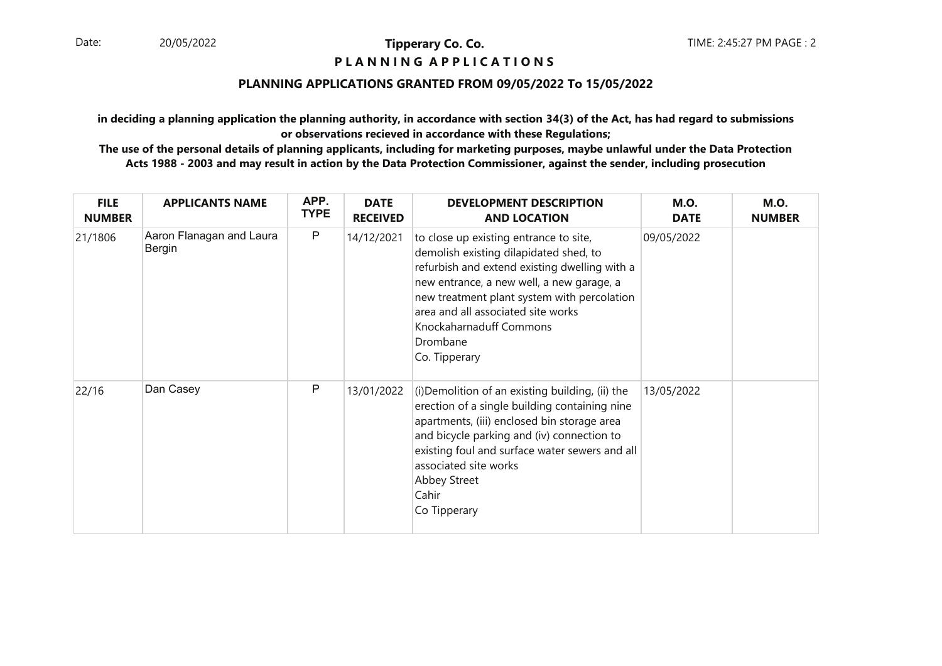#### **P L A N N I N G A P P L I C A T I O N S**

#### **PLANNING APPLICATIONS GRANTED FROM 09/05/2022 To 15/05/2022**

**in deciding a planning application the planning authority, in accordance with section 34(3) of the Act, has had regard to submissionsor observations recieved in accordance with these Regulations;**

| <b>FILE</b><br><b>NUMBER</b> | <b>APPLICANTS NAME</b>             | APP.<br><b>TYPE</b> | <b>DATE</b><br><b>RECEIVED</b> | <b>DEVELOPMENT DESCRIPTION</b><br><b>AND LOCATION</b>                                                                                                                                                                                                                                                                       | <b>M.O.</b><br><b>DATE</b> | <b>M.O.</b><br><b>NUMBER</b> |
|------------------------------|------------------------------------|---------------------|--------------------------------|-----------------------------------------------------------------------------------------------------------------------------------------------------------------------------------------------------------------------------------------------------------------------------------------------------------------------------|----------------------------|------------------------------|
| 21/1806                      | Aaron Flanagan and Laura<br>Bergin | P                   | 14/12/2021                     | to close up existing entrance to site,<br>demolish existing dilapidated shed, to<br>refurbish and extend existing dwelling with a<br>new entrance, a new well, a new garage, a<br>new treatment plant system with percolation<br>area and all associated site works<br>Knockaharnaduff Commons<br>Drombane<br>Co. Tipperary | 09/05/2022                 |                              |
| 22/16                        | Dan Casey                          | P                   | 13/01/2022                     | (i) Demolition of an existing building, (ii) the<br>erection of a single building containing nine<br>apartments, (iii) enclosed bin storage area<br>and bicycle parking and (iv) connection to<br>existing foul and surface water sewers and all<br>associated site works<br>Abbey Street<br>Cahir<br>Co Tipperary          | 13/05/2022                 |                              |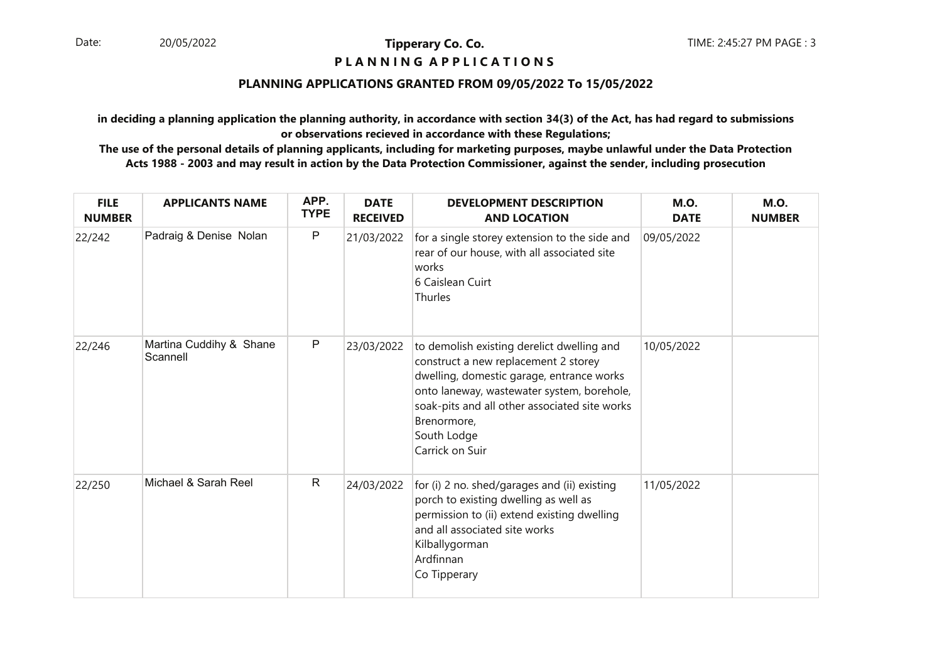### **P L A N N I N G A P P L I C A T I O N S**

#### **PLANNING APPLICATIONS GRANTED FROM 09/05/2022 To 15/05/2022**

**in deciding a planning application the planning authority, in accordance with section 34(3) of the Act, has had regard to submissionsor observations recieved in accordance with these Regulations;**

| <b>FILE</b><br><b>NUMBER</b> | <b>APPLICANTS NAME</b>              | APP.<br><b>TYPE</b> | <b>DATE</b><br><b>RECEIVED</b> | <b>DEVELOPMENT DESCRIPTION</b><br><b>AND LOCATION</b>                                                                                                                                                                                                                           | <b>M.O.</b><br><b>DATE</b> | <b>M.O.</b><br><b>NUMBER</b> |
|------------------------------|-------------------------------------|---------------------|--------------------------------|---------------------------------------------------------------------------------------------------------------------------------------------------------------------------------------------------------------------------------------------------------------------------------|----------------------------|------------------------------|
| 22/242                       | Padraig & Denise Nolan              | P                   | 21/03/2022                     | for a single storey extension to the side and<br>rear of our house, with all associated site<br>works<br>6 Caislean Cuirt<br>Thurles                                                                                                                                            | 09/05/2022                 |                              |
| 22/246                       | Martina Cuddihy & Shane<br>Scannell | P                   | 23/03/2022                     | to demolish existing derelict dwelling and<br>construct a new replacement 2 storey<br>dwelling, domestic garage, entrance works<br>onto laneway, wastewater system, borehole,<br>soak-pits and all other associated site works<br>Brenormore,<br>South Lodge<br>Carrick on Suir | 10/05/2022                 |                              |
| 22/250                       | Michael & Sarah Reel                | $\mathsf{R}$        | 24/03/2022                     | for (i) 2 no. shed/garages and (ii) existing<br>porch to existing dwelling as well as<br>permission to (ii) extend existing dwelling<br>and all associated site works<br>Kilballygorman<br>Ardfinnan<br>Co Tipperary                                                            | 11/05/2022                 |                              |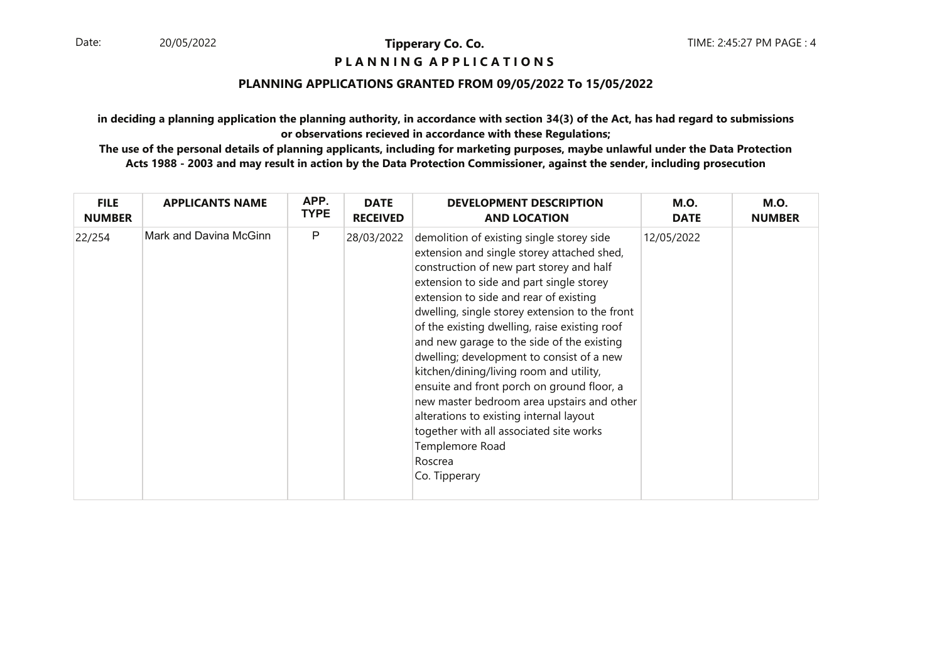### **P L A N N I N G A P P L I C A T I O N S**

## **PLANNING APPLICATIONS GRANTED FROM 09/05/2022 To 15/05/2022**

**in deciding a planning application the planning authority, in accordance with section 34(3) of the Act, has had regard to submissionsor observations recieved in accordance with these Regulations;**

| <b>FILE</b>   | <b>APPLICANTS NAME</b> | APP.        | <b>DATE</b>     | <b>DEVELOPMENT DESCRIPTION</b>                                                                                                                                                                                                                                                                                                                                                                                                                                                                                                                                                                                                                                                                      | <b>M.O.</b> | <b>M.O.</b>   |
|---------------|------------------------|-------------|-----------------|-----------------------------------------------------------------------------------------------------------------------------------------------------------------------------------------------------------------------------------------------------------------------------------------------------------------------------------------------------------------------------------------------------------------------------------------------------------------------------------------------------------------------------------------------------------------------------------------------------------------------------------------------------------------------------------------------------|-------------|---------------|
| <b>NUMBER</b> |                        | <b>TYPE</b> | <b>RECEIVED</b> | <b>AND LOCATION</b>                                                                                                                                                                                                                                                                                                                                                                                                                                                                                                                                                                                                                                                                                 | <b>DATE</b> | <b>NUMBER</b> |
| 22/254        | Mark and Davina McGinn | P           | 28/03/2022      | demolition of existing single storey side<br>extension and single storey attached shed,<br>construction of new part storey and half<br>extension to side and part single storey<br>extension to side and rear of existing<br>dwelling, single storey extension to the front<br>of the existing dwelling, raise existing roof<br>and new garage to the side of the existing<br>dwelling; development to consist of a new<br>kitchen/dining/living room and utility,<br>ensuite and front porch on ground floor, a<br>new master bedroom area upstairs and other<br>alterations to existing internal layout<br>together with all associated site works<br>Templemore Road<br>Roscrea<br>Co. Tipperary | 12/05/2022  |               |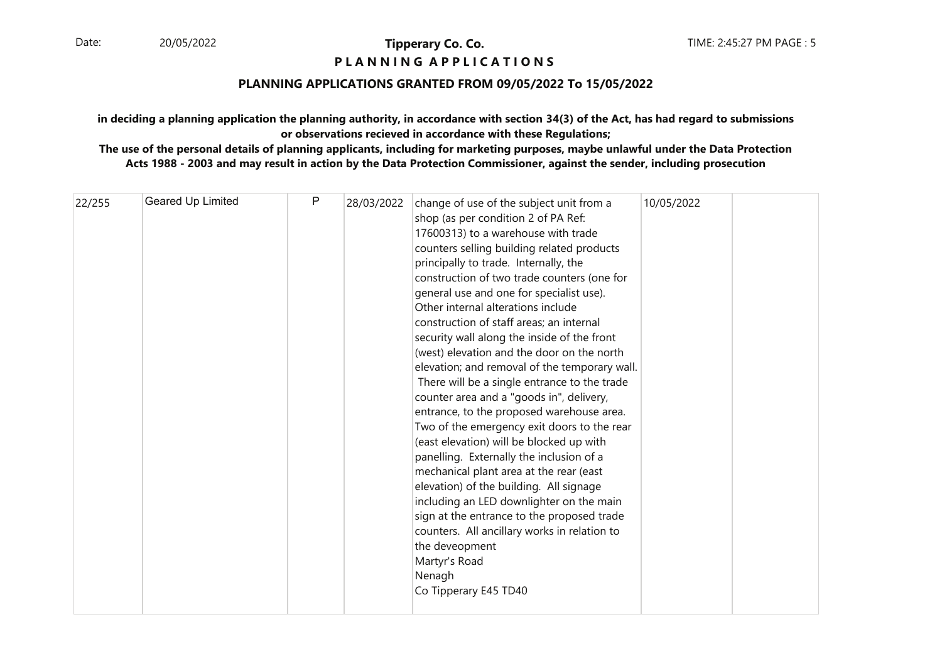### **P L A N N I N G A P P L I C A T I O N S**

#### **PLANNING APPLICATIONS GRANTED FROM 09/05/2022 To 15/05/2022**

## **in deciding a planning application the planning authority, in accordance with section 34(3) of the Act, has had regard to submissionsor observations recieved in accordance with these Regulations;**

| 22/255 | Geared Up Limited | P | 28/03/2022 | change of use of the subject unit from a      | 10/05/2022 |  |
|--------|-------------------|---|------------|-----------------------------------------------|------------|--|
|        |                   |   |            | shop (as per condition 2 of PA Ref:           |            |  |
|        |                   |   |            | 17600313) to a warehouse with trade           |            |  |
|        |                   |   |            | counters selling building related products    |            |  |
|        |                   |   |            |                                               |            |  |
|        |                   |   |            | principally to trade. Internally, the         |            |  |
|        |                   |   |            | construction of two trade counters (one for   |            |  |
|        |                   |   |            | general use and one for specialist use).      |            |  |
|        |                   |   |            | Other internal alterations include            |            |  |
|        |                   |   |            | construction of staff areas; an internal      |            |  |
|        |                   |   |            | security wall along the inside of the front   |            |  |
|        |                   |   |            | (west) elevation and the door on the north    |            |  |
|        |                   |   |            | elevation; and removal of the temporary wall. |            |  |
|        |                   |   |            | There will be a single entrance to the trade  |            |  |
|        |                   |   |            | counter area and a "goods in", delivery,      |            |  |
|        |                   |   |            | entrance, to the proposed warehouse area.     |            |  |
|        |                   |   |            | Two of the emergency exit doors to the rear   |            |  |
|        |                   |   |            | (east elevation) will be blocked up with      |            |  |
|        |                   |   |            | panelling. Externally the inclusion of a      |            |  |
|        |                   |   |            | mechanical plant area at the rear (east       |            |  |
|        |                   |   |            | elevation) of the building. All signage       |            |  |
|        |                   |   |            | including an LED downlighter on the main      |            |  |
|        |                   |   |            | sign at the entrance to the proposed trade    |            |  |
|        |                   |   |            | counters. All ancillary works in relation to  |            |  |
|        |                   |   |            | the deveopment                                |            |  |
|        |                   |   |            | Martyr's Road                                 |            |  |
|        |                   |   |            | Nenagh                                        |            |  |
|        |                   |   |            | Co Tipperary E45 TD40                         |            |  |
|        |                   |   |            |                                               |            |  |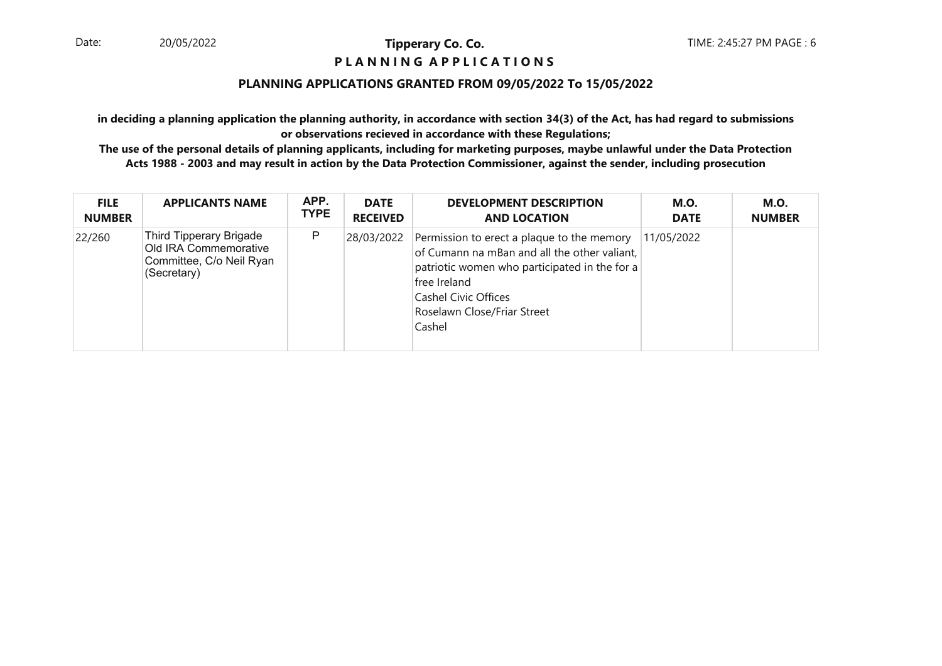#### **P L A N N I N G A P P L I C A T I O N S**

#### **PLANNING APPLICATIONS GRANTED FROM 09/05/2022 To 15/05/2022**

**in deciding a planning application the planning authority, in accordance with section 34(3) of the Act, has had regard to submissionsor observations recieved in accordance with these Regulations;**

| <b>FILE</b>   | <b>APPLICANTS NAME</b>                                                                      | APP.        | <b>DATE</b>     | <b>DEVELOPMENT DESCRIPTION</b>                                                                                                                                                                                                      | <b>M.O.</b> | <b>M.O.</b>   |
|---------------|---------------------------------------------------------------------------------------------|-------------|-----------------|-------------------------------------------------------------------------------------------------------------------------------------------------------------------------------------------------------------------------------------|-------------|---------------|
| <b>NUMBER</b> |                                                                                             | <b>TYPE</b> | <b>RECEIVED</b> | <b>AND LOCATION</b>                                                                                                                                                                                                                 | <b>DATE</b> | <b>NUMBER</b> |
| 22/260        | Third Tipperary Brigade<br>Old IRA Commemorative<br>Committee, C/o Neil Ryan<br>(Secretary) | P           | 28/03/2022      | Permission to erect a plaque to the memory<br>of Cumann na mBan and all the other valiant,<br>patriotic women who participated in the for a<br>free Ireland<br><b>Cashel Civic Offices</b><br>Roselawn Close/Friar Street<br>Cashel | 11/05/2022  |               |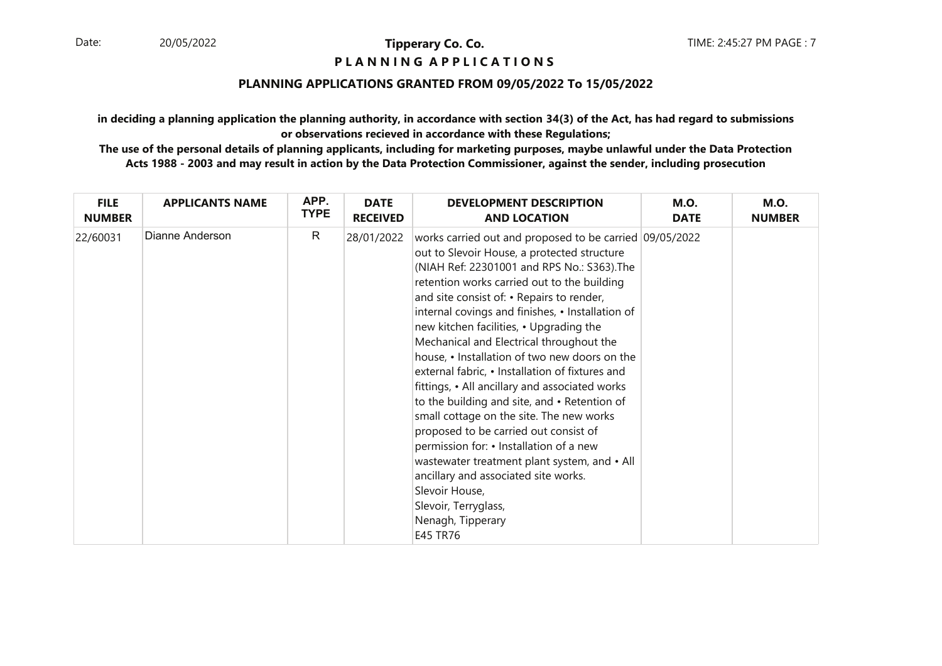### **P L A N N I N G A P P L I C A T I O N S**

#### **PLANNING APPLICATIONS GRANTED FROM 09/05/2022 To 15/05/2022**

**in deciding a planning application the planning authority, in accordance with section 34(3) of the Act, has had regard to submissionsor observations recieved in accordance with these Regulations;**

| <b>FILE</b>   | <b>APPLICANTS NAME</b> | APP.         | <b>DATE</b>     | <b>DEVELOPMENT DESCRIPTION</b>                                                                                                                                                                                                                                                                                                                                                                                                                                                                                                                                                                                                                                                                                                                                                                                                                                                                        | <b>M.O.</b> | <b>M.O.</b>   |
|---------------|------------------------|--------------|-----------------|-------------------------------------------------------------------------------------------------------------------------------------------------------------------------------------------------------------------------------------------------------------------------------------------------------------------------------------------------------------------------------------------------------------------------------------------------------------------------------------------------------------------------------------------------------------------------------------------------------------------------------------------------------------------------------------------------------------------------------------------------------------------------------------------------------------------------------------------------------------------------------------------------------|-------------|---------------|
| <b>NUMBER</b> |                        | <b>TYPE</b>  | <b>RECEIVED</b> | <b>AND LOCATION</b>                                                                                                                                                                                                                                                                                                                                                                                                                                                                                                                                                                                                                                                                                                                                                                                                                                                                                   | <b>DATE</b> | <b>NUMBER</b> |
| 22/60031      | Dianne Anderson        | $\mathsf{R}$ | 28/01/2022      | works carried out and proposed to be carried 09/05/2022<br>out to Slevoir House, a protected structure<br>(NIAH Ref: 22301001 and RPS No.: S363). The<br>retention works carried out to the building<br>and site consist of: • Repairs to render,<br>internal covings and finishes, • Installation of<br>new kitchen facilities, • Upgrading the<br>Mechanical and Electrical throughout the<br>house, • Installation of two new doors on the<br>external fabric, • Installation of fixtures and<br>fittings, • All ancillary and associated works<br>to the building and site, and • Retention of<br>small cottage on the site. The new works<br>proposed to be carried out consist of<br>permission for: • Installation of a new<br>wastewater treatment plant system, and • All<br>ancillary and associated site works.<br>Slevoir House,<br>Slevoir, Terryglass,<br>Nenagh, Tipperary<br>E45 TR76 |             |               |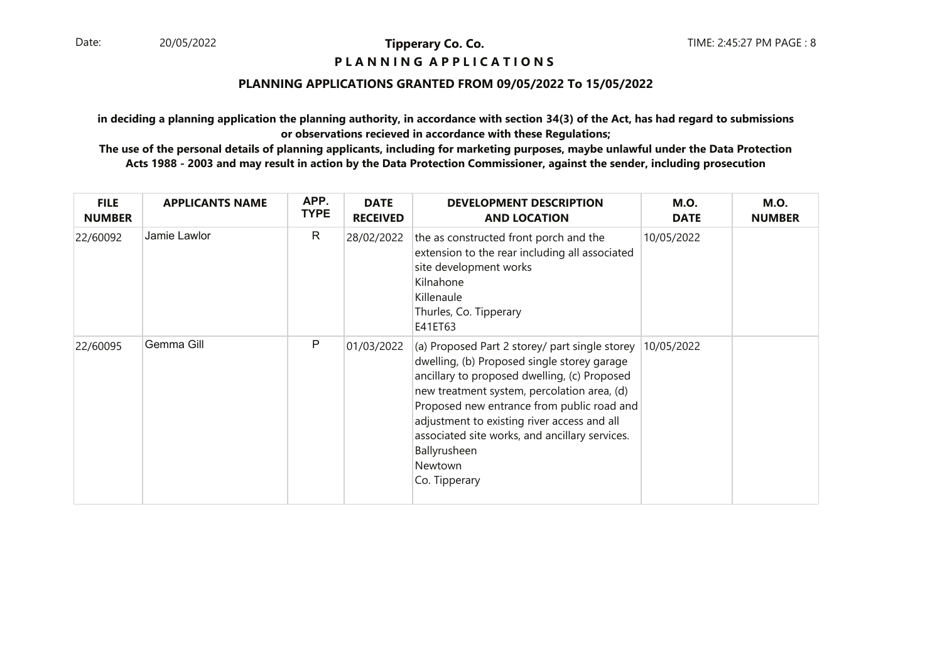#### **P L A N N I N G A P P L I C A T I O N S**

#### **PLANNING APPLICATIONS GRANTED FROM 09/05/2022 To 15/05/2022**

**in deciding a planning application the planning authority, in accordance with section 34(3) of the Act, has had regard to submissionsor observations recieved in accordance with these Regulations;**

| <b>FILE</b><br><b>NUMBER</b> | <b>APPLICANTS NAME</b> | APP.<br><b>TYPE</b> | <b>DATE</b><br><b>RECEIVED</b> | <b>DEVELOPMENT DESCRIPTION</b><br><b>AND LOCATION</b>                                                                                                                                                                                                                                                                                                                                   | <b>M.O.</b><br><b>DATE</b> | <b>M.O.</b><br><b>NUMBER</b> |
|------------------------------|------------------------|---------------------|--------------------------------|-----------------------------------------------------------------------------------------------------------------------------------------------------------------------------------------------------------------------------------------------------------------------------------------------------------------------------------------------------------------------------------------|----------------------------|------------------------------|
| 22/60092                     | Jamie Lawlor           | R                   | 28/02/2022                     | the as constructed front porch and the<br>extension to the rear including all associated<br>site development works<br>Kilnahone<br>Killenaule<br>Thurles, Co. Tipperary<br>E41ET63                                                                                                                                                                                                      | 10/05/2022                 |                              |
| 22/60095                     | Gemma Gill             | P                   | 01/03/2022                     | (a) Proposed Part 2 storey/ part single storey<br>dwelling, (b) Proposed single storey garage<br>ancillary to proposed dwelling, (c) Proposed<br>new treatment system, percolation area, (d)<br>Proposed new entrance from public road and<br>adjustment to existing river access and all<br>associated site works, and ancillary services.<br>Ballyrusheen<br>Newtown<br>Co. Tipperary | 10/05/2022                 |                              |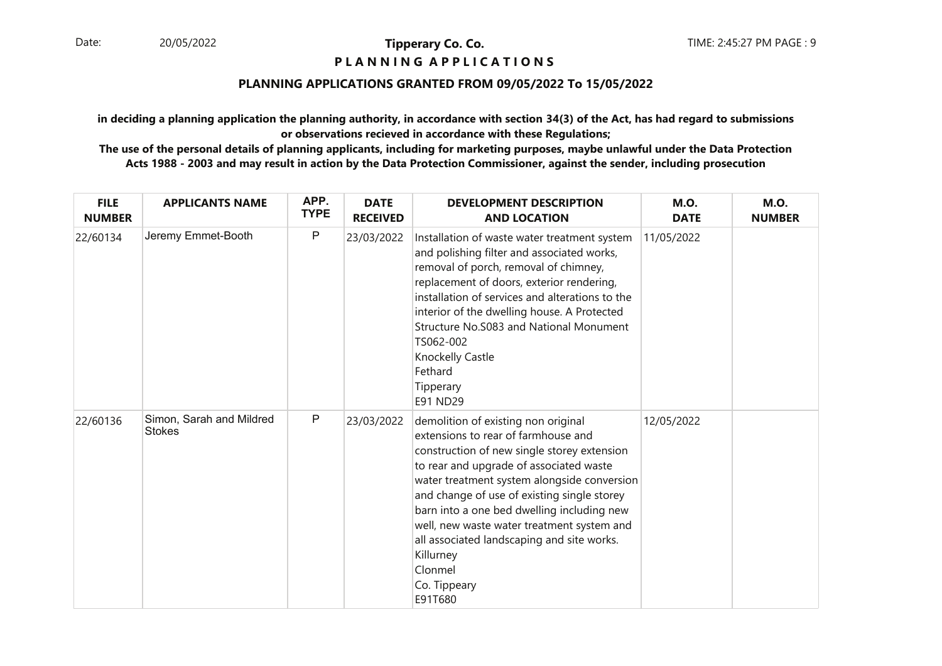#### **P L A N N I N G A P P L I C A T I O N S**

#### **PLANNING APPLICATIONS GRANTED FROM 09/05/2022 To 15/05/2022**

**in deciding a planning application the planning authority, in accordance with section 34(3) of the Act, has had regard to submissionsor observations recieved in accordance with these Regulations;**

| <b>FILE</b><br><b>NUMBER</b> | <b>APPLICANTS NAME</b>                    | APP.<br><b>TYPE</b> | <b>DATE</b><br><b>RECEIVED</b> | <b>DEVELOPMENT DESCRIPTION</b><br><b>AND LOCATION</b>                                                                                                                                                                                                                                                                                                                                                                                                           | <b>M.O.</b><br><b>DATE</b> | <b>M.O.</b><br><b>NUMBER</b> |
|------------------------------|-------------------------------------------|---------------------|--------------------------------|-----------------------------------------------------------------------------------------------------------------------------------------------------------------------------------------------------------------------------------------------------------------------------------------------------------------------------------------------------------------------------------------------------------------------------------------------------------------|----------------------------|------------------------------|
| 22/60134                     | Jeremy Emmet-Booth                        | P                   | 23/03/2022                     | Installation of waste water treatment system<br>and polishing filter and associated works,<br>removal of porch, removal of chimney,<br>replacement of doors, exterior rendering,<br>installation of services and alterations to the<br>interior of the dwelling house. A Protected<br>Structure No. 5083 and National Monument<br>TS062-002<br>Knockelly Castle<br>Fethard<br>Tipperary<br>E91 ND29                                                             | 11/05/2022                 |                              |
| 22/60136                     | Simon, Sarah and Mildred<br><b>Stokes</b> | P                   | 23/03/2022                     | demolition of existing non original<br>extensions to rear of farmhouse and<br>construction of new single storey extension<br>to rear and upgrade of associated waste<br>water treatment system alongside conversion<br>and change of use of existing single storey<br>barn into a one bed dwelling including new<br>well, new waste water treatment system and<br>all associated landscaping and site works.<br>Killurney<br>Clonmel<br>Co. Tippeary<br>E91T680 | 12/05/2022                 |                              |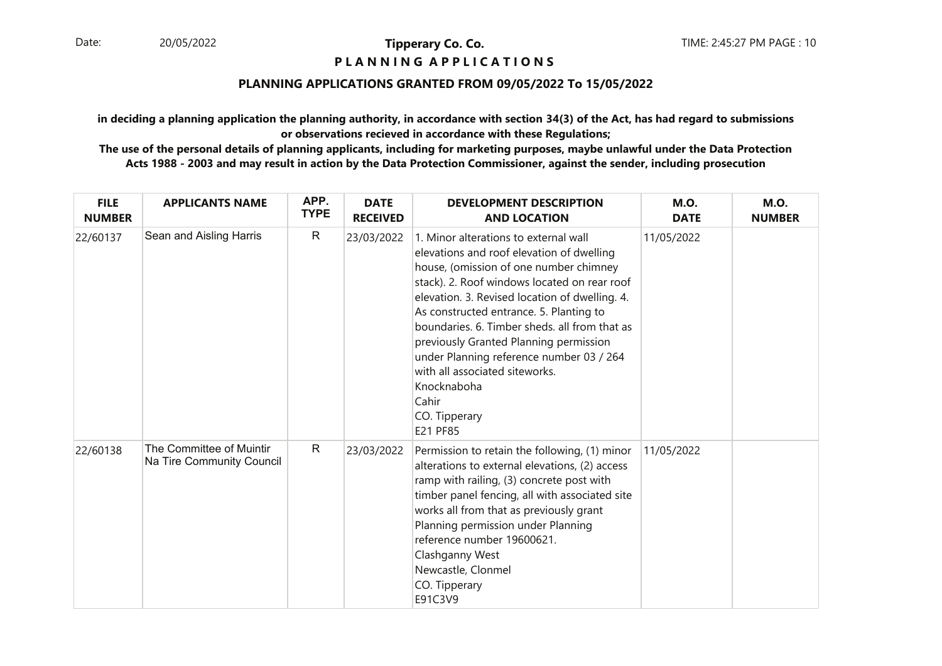#### **P L A N N I N G A P P L I C A T I O N S**

## **PLANNING APPLICATIONS GRANTED FROM 09/05/2022 To 15/05/2022**

**in deciding a planning application the planning authority, in accordance with section 34(3) of the Act, has had regard to submissionsor observations recieved in accordance with these Regulations;**

| <b>FILE</b><br><b>NUMBER</b> | <b>APPLICANTS NAME</b>                                | APP.<br><b>TYPE</b> | <b>DATE</b><br><b>RECEIVED</b> | <b>DEVELOPMENT DESCRIPTION</b><br><b>AND LOCATION</b>                                                                                                                                                                                                                                                                                                                                                                                                                                                   | <b>M.O.</b><br><b>DATE</b> | <b>M.O.</b><br><b>NUMBER</b> |
|------------------------------|-------------------------------------------------------|---------------------|--------------------------------|---------------------------------------------------------------------------------------------------------------------------------------------------------------------------------------------------------------------------------------------------------------------------------------------------------------------------------------------------------------------------------------------------------------------------------------------------------------------------------------------------------|----------------------------|------------------------------|
| 22/60137                     | Sean and Aisling Harris                               | R                   | 23/03/2022                     | 1. Minor alterations to external wall<br>elevations and roof elevation of dwelling<br>house, (omission of one number chimney<br>stack). 2. Roof windows located on rear roof<br>elevation. 3. Revised location of dwelling. 4.<br>As constructed entrance. 5. Planting to<br>boundaries. 6. Timber sheds, all from that as<br>previously Granted Planning permission<br>under Planning reference number 03 / 264<br>with all associated siteworks.<br>Knocknaboha<br>Cahir<br>CO. Tipperary<br>E21 PF85 | 11/05/2022                 |                              |
| 22/60138                     | The Committee of Muintir<br>Na Tire Community Council | R                   | 23/03/2022                     | Permission to retain the following, (1) minor<br>alterations to external elevations, (2) access<br>ramp with railing, (3) concrete post with<br>timber panel fencing, all with associated site<br>works all from that as previously grant<br>Planning permission under Planning<br>reference number 19600621.<br>Clashganny West<br>Newcastle, Clonmel<br>CO. Tipperary<br>E91C3V9                                                                                                                      | 11/05/2022                 |                              |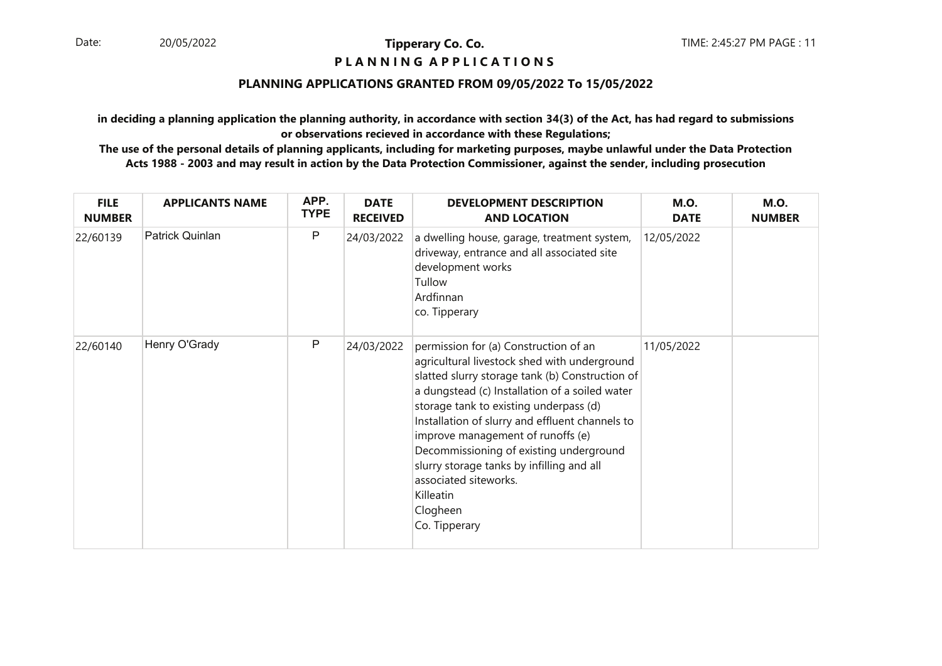### **P L A N N I N G A P P L I C A T I O N S**

#### **PLANNING APPLICATIONS GRANTED FROM 09/05/2022 To 15/05/2022**

**in deciding a planning application the planning authority, in accordance with section 34(3) of the Act, has had regard to submissionsor observations recieved in accordance with these Regulations;**

| <b>FILE</b><br><b>NUMBER</b> | <b>APPLICANTS NAME</b> | APP.<br><b>TYPE</b> | <b>DATE</b><br><b>RECEIVED</b> | <b>DEVELOPMENT DESCRIPTION</b><br><b>AND LOCATION</b>                                                                                                                                                                                                                                                                                                                                                                                                                                   | <b>M.O.</b><br><b>DATE</b> | <b>M.O.</b><br><b>NUMBER</b> |
|------------------------------|------------------------|---------------------|--------------------------------|-----------------------------------------------------------------------------------------------------------------------------------------------------------------------------------------------------------------------------------------------------------------------------------------------------------------------------------------------------------------------------------------------------------------------------------------------------------------------------------------|----------------------------|------------------------------|
| 22/60139                     | Patrick Quinlan        | $\mathsf{P}$        | 24/03/2022                     | a dwelling house, garage, treatment system,<br>driveway, entrance and all associated site<br>development works<br>Tullow<br>Ardfinnan<br>co. Tipperary                                                                                                                                                                                                                                                                                                                                  | 12/05/2022                 |                              |
| 22/60140                     | Henry O'Grady          | $\mathsf{P}$        | 24/03/2022                     | permission for (a) Construction of an<br>agricultural livestock shed with underground<br>slatted slurry storage tank (b) Construction of<br>a dungstead (c) Installation of a soiled water<br>storage tank to existing underpass (d)<br>Installation of slurry and effluent channels to<br>improve management of runoffs (e)<br>Decommissioning of existing underground<br>slurry storage tanks by infilling and all<br>associated siteworks.<br>Killeatin<br>Clogheen<br>Co. Tipperary | 11/05/2022                 |                              |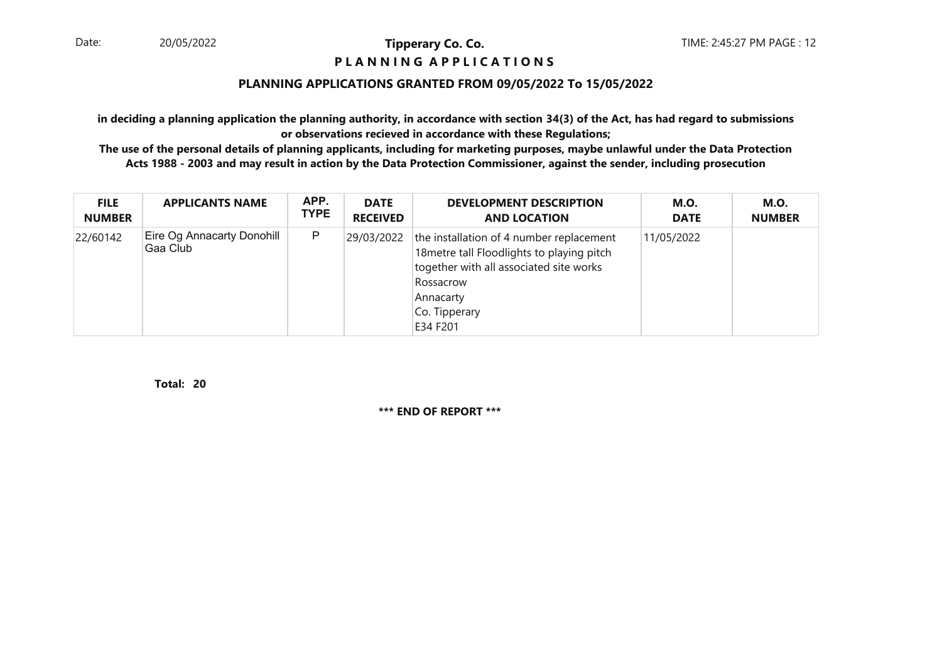#### **P L A N N I N G A P P L I C A T I O N S**

#### **PLANNING APPLICATIONS GRANTED FROM 09/05/2022 To 15/05/2022**

**in deciding a planning application the planning authority, in accordance with section 34(3) of the Act, has had regard to submissionsor observations recieved in accordance with these Regulations;**

 **The use of the personal details of planning applicants, including for marketing purposes, maybe unlawful under the Data ProtectionActs 1988 - 2003 and may result in action by the Data Protection Commissioner, against the sender, including prosecution**

| <b>FILE</b>   | <b>APPLICANTS NAME</b>                  | APP.        | <b>DATE</b>     | <b>DEVELOPMENT DESCRIPTION</b>                                                                                                                                                           | <b>M.O.</b> | <b>M.O.</b>   |
|---------------|-----------------------------------------|-------------|-----------------|------------------------------------------------------------------------------------------------------------------------------------------------------------------------------------------|-------------|---------------|
| <b>NUMBER</b> |                                         | <b>TYPE</b> | <b>RECEIVED</b> | <b>AND LOCATION</b>                                                                                                                                                                      | <b>DATE</b> | <b>NUMBER</b> |
| 22/60142      | Eire Og Annacarty Donohill<br>∣Gaa Club | P           | 29/03/2022      | the installation of 4 number replacement<br>18 metre tall Floodlights to playing pitch<br>together with all associated site works<br>Rossacrow<br>Annacarty<br>Co. Tipperary<br>E34 F201 | 11/05/2022  |               |

**20Total:**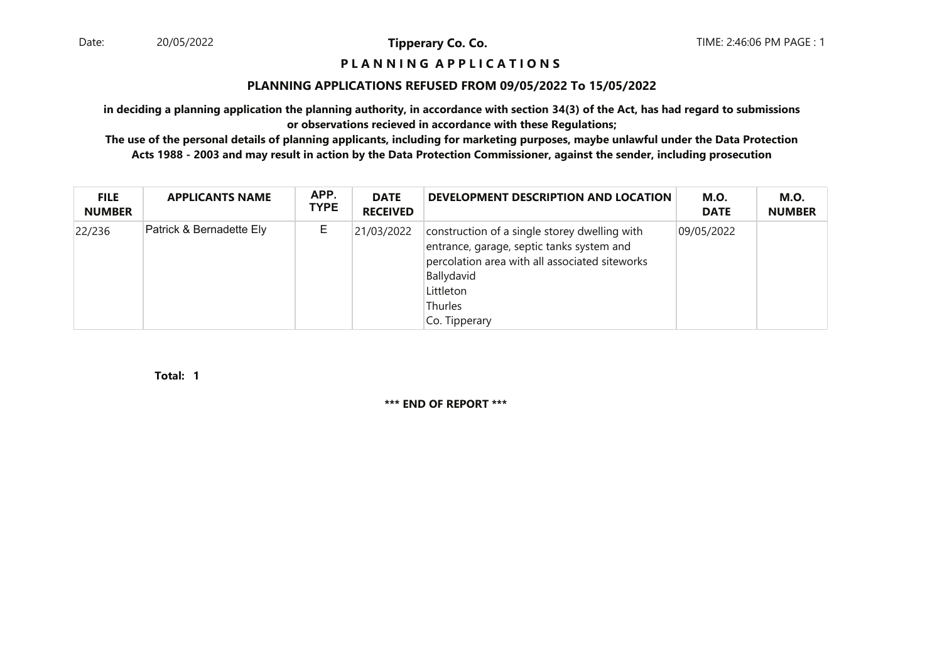#### **P L A N N I N G A P P L I C A T I O N S**

#### **PLANNING APPLICATIONS REFUSED FROM 09/05/2022 To 15/05/2022**

**in deciding a planning application the planning authority, in accordance with section 34(3) of the Act, has had regard to submissionsor observations recieved in accordance with these Regulations;**

 **The use of the personal details of planning applicants, including for marketing purposes, maybe unlawful under the Data ProtectionActs 1988 - 2003 and may result in action by the Data Protection Commissioner, against the sender, including prosecution**

| <b>FILE</b><br><b>NUMBER</b> | <b>APPLICANTS NAME</b>   | APP.<br><b>TYPE</b> | <b>DATE</b><br><b>RECEIVED</b> | DEVELOPMENT DESCRIPTION AND LOCATION                                                                                                                                                                | M.O.<br><b>DATE</b> | <b>M.O.</b><br><b>NUMBER</b> |
|------------------------------|--------------------------|---------------------|--------------------------------|-----------------------------------------------------------------------------------------------------------------------------------------------------------------------------------------------------|---------------------|------------------------------|
| 22/236                       | Patrick & Bernadette Ely | E                   | 21/03/2022                     | construction of a single storey dwelling with<br>entrance, garage, septic tanks system and<br>percolation area with all associated siteworks<br>Ballydavid<br>Littleton<br>Thurles<br>Co. Tipperary | 09/05/2022          |                              |

**1Total:**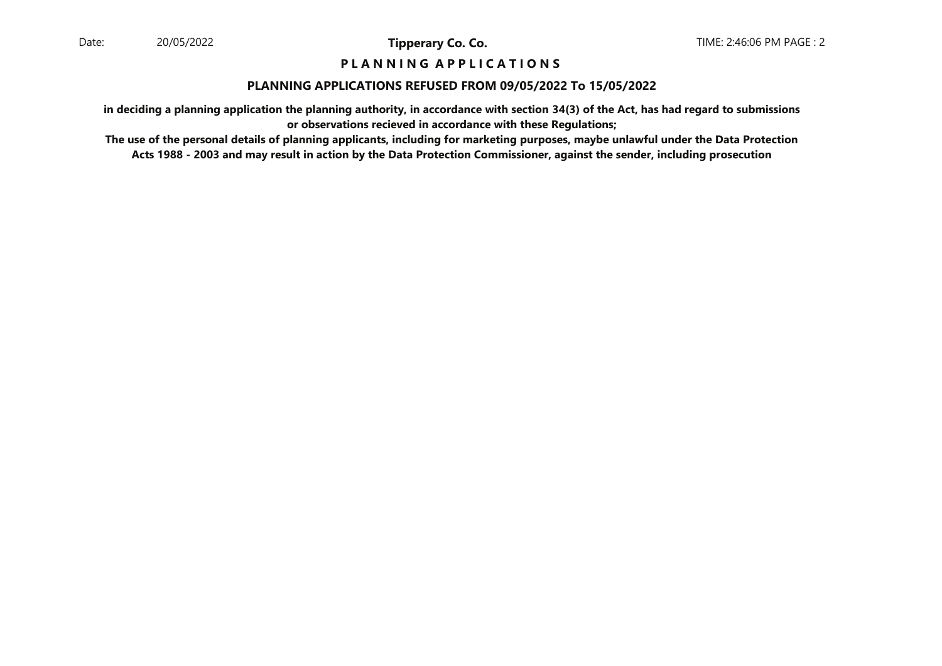## **P L A N N I N G A P P L I C A T I O N S**

#### **PLANNING APPLICATIONS REFUSED FROM 09/05/2022 To 15/05/2022**

**in deciding a planning application the planning authority, in accordance with section 34(3) of the Act, has had regard to submissionsor observations recieved in accordance with these Regulations;**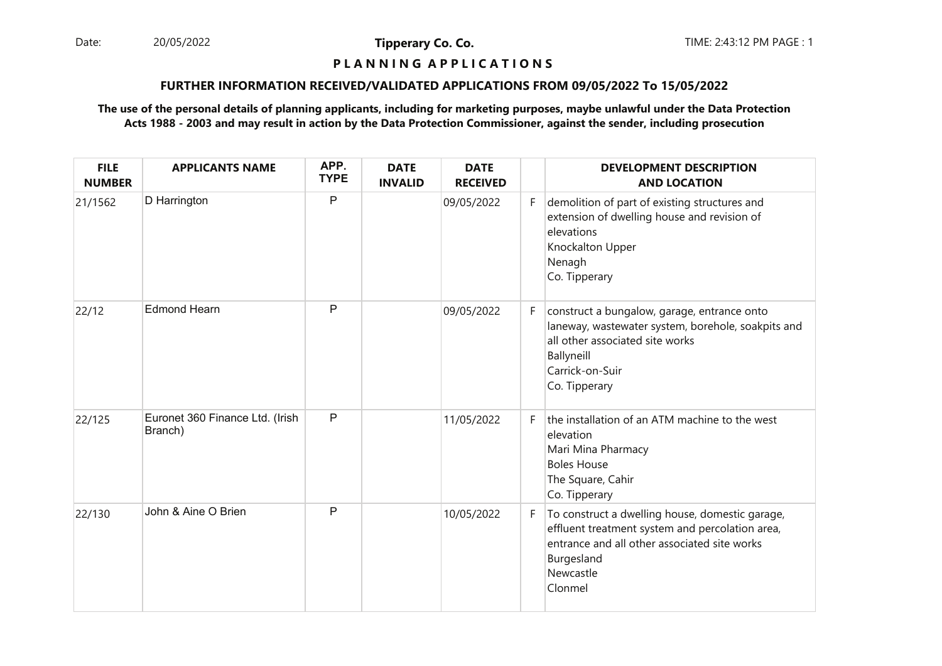Date: 20/05/2022 **Tipperary Co. Co. The Co. Co.** TIME: 2:43:12 PM PAGE : 1 20/05/2022

**Tipperary Co. Co.**

# **P L A N N I N G A P P L I C A T I O N S**

#### **FURTHER INFORMATION RECEIVED/VALIDATED APPLICATIONS FROM 09/05/2022 To 15/05/2022**

| <b>FILE</b><br><b>NUMBER</b> | <b>APPLICANTS NAME</b>                     | APP.<br><b>TYPE</b> | <b>DATE</b><br><b>INVALID</b> | <b>DATE</b><br><b>RECEIVED</b> |    | <b>DEVELOPMENT DESCRIPTION</b><br><b>AND LOCATION</b>                                                                                                                                    |
|------------------------------|--------------------------------------------|---------------------|-------------------------------|--------------------------------|----|------------------------------------------------------------------------------------------------------------------------------------------------------------------------------------------|
| 21/1562                      | D Harrington                               | P                   |                               | 09/05/2022                     | F. | demolition of part of existing structures and<br>extension of dwelling house and revision of<br>elevations<br>Knockalton Upper<br>Nenagh<br>Co. Tipperary                                |
| 22/12                        | <b>Edmond Hearn</b>                        | P                   |                               | 09/05/2022                     | F. | construct a bungalow, garage, entrance onto<br>laneway, wastewater system, borehole, soakpits and<br>all other associated site works<br>Ballyneill<br>Carrick-on-Suir<br>Co. Tipperary   |
| 22/125                       | Euronet 360 Finance Ltd. (Irish<br>Branch) | P                   |                               | 11/05/2022                     | F. | the installation of an ATM machine to the west<br>elevation<br>Mari Mina Pharmacy<br><b>Boles House</b><br>The Square, Cahir<br>Co. Tipperary                                            |
| 22/130                       | John & Aine O Brien                        | P                   |                               | 10/05/2022                     | F. | To construct a dwelling house, domestic garage,<br>effluent treatment system and percolation area,<br>entrance and all other associated site works<br>Burgesland<br>Newcastle<br>Clonmel |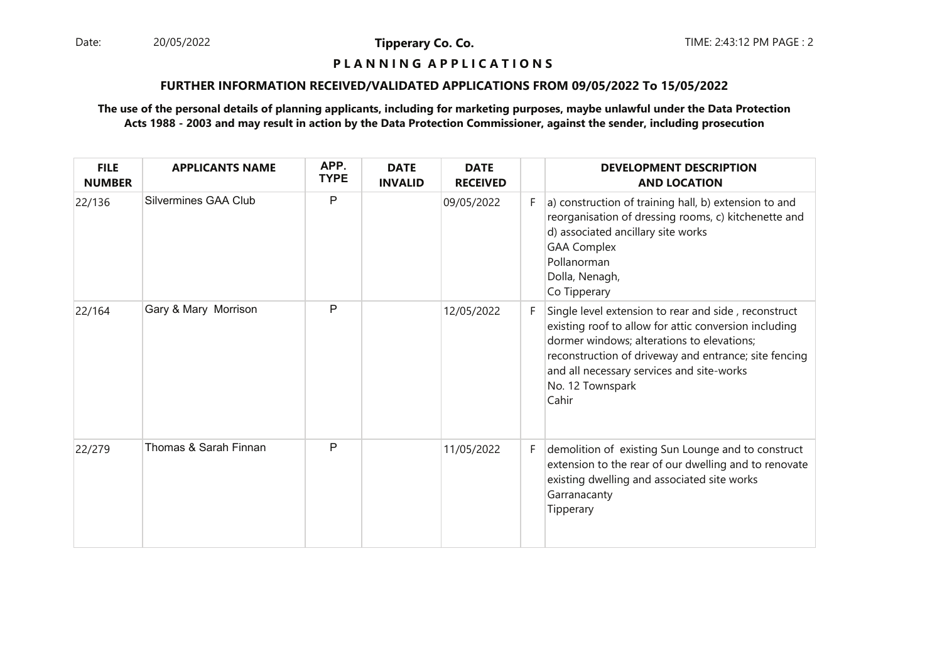Date: 20/05/2022 **Tipperary Co. Co. The Co. Co.** TIME: 2:43:12 PM PAGE : 2 20/05/2022

**Tipperary Co. Co.**

# **P L A N N I N G A P P L I C A T I O N S**

#### **FURTHER INFORMATION RECEIVED/VALIDATED APPLICATIONS FROM 09/05/2022 To 15/05/2022**

| <b>FILE</b><br><b>NUMBER</b> | <b>APPLICANTS NAME</b> | APP.<br><b>TYPE</b> | <b>DATE</b><br><b>INVALID</b> | <b>DATE</b><br><b>RECEIVED</b> |    | <b>DEVELOPMENT DESCRIPTION</b><br><b>AND LOCATION</b>                                                                                                                                                                                                                                          |
|------------------------------|------------------------|---------------------|-------------------------------|--------------------------------|----|------------------------------------------------------------------------------------------------------------------------------------------------------------------------------------------------------------------------------------------------------------------------------------------------|
| 22/136                       | Silvermines GAA Club   | P                   |                               | 09/05/2022                     | F. | a) construction of training hall, b) extension to and<br>reorganisation of dressing rooms, c) kitchenette and<br>d) associated ancillary site works<br><b>GAA Complex</b><br>Pollanorman<br>Dolla, Nenagh,<br>Co Tipperary                                                                     |
| 22/164                       | Gary & Mary Morrison   | P                   |                               | 12/05/2022                     | F. | Single level extension to rear and side, reconstruct<br>existing roof to allow for attic conversion including<br>dormer windows; alterations to elevations;<br>reconstruction of driveway and entrance; site fencing<br>and all necessary services and site-works<br>No. 12 Townspark<br>Cahir |
| 22/279                       | Thomas & Sarah Finnan  | P                   |                               | 11/05/2022                     | F. | demolition of existing Sun Lounge and to construct<br>extension to the rear of our dwelling and to renovate<br>existing dwelling and associated site works<br>Garranacanty<br>Tipperary                                                                                                        |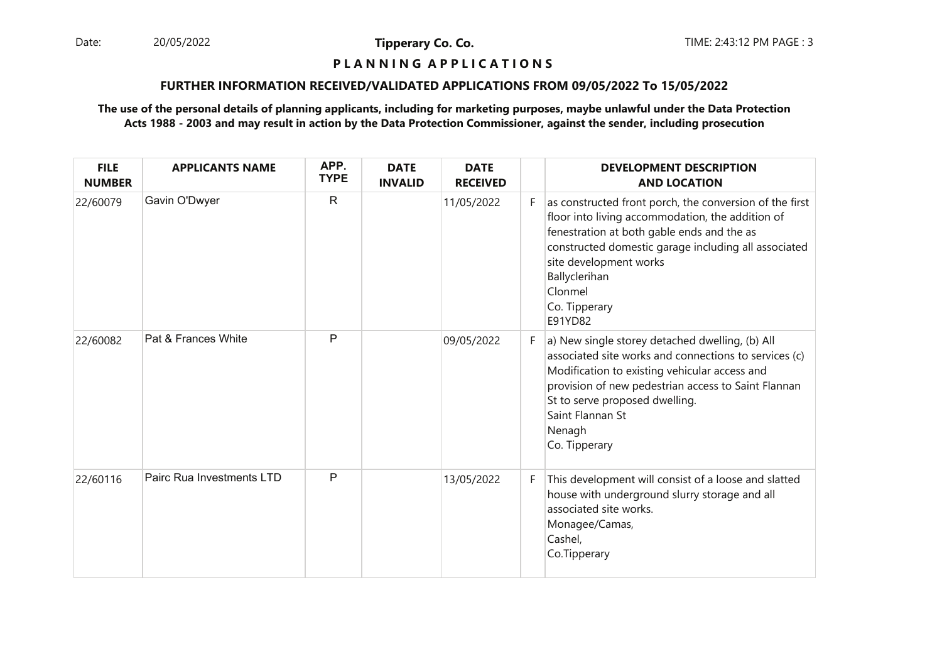Date: 20/05/2022 **Tipperary Co. Co. The Co. Co.** TIME: 2:43:12 PM PAGE : 3 20/05/2022

**Tipperary Co. Co.**

# **P L A N N I N G A P P L I C A T I O N S**

#### **FURTHER INFORMATION RECEIVED/VALIDATED APPLICATIONS FROM 09/05/2022 To 15/05/2022**

| <b>FILE</b><br><b>NUMBER</b> | <b>APPLICANTS NAME</b>    | APP.<br><b>TYPE</b> | <b>DATE</b><br><b>INVALID</b> | <b>DATE</b><br><b>RECEIVED</b> |    | <b>DEVELOPMENT DESCRIPTION</b><br><b>AND LOCATION</b>                                                                                                                                                                                                                                               |
|------------------------------|---------------------------|---------------------|-------------------------------|--------------------------------|----|-----------------------------------------------------------------------------------------------------------------------------------------------------------------------------------------------------------------------------------------------------------------------------------------------------|
| 22/60079                     | Gavin O'Dwyer             | $\mathsf{R}$        |                               | 11/05/2022                     | F. | as constructed front porch, the conversion of the first<br>floor into living accommodation, the addition of<br>fenestration at both gable ends and the as<br>constructed domestic garage including all associated<br>site development works<br>Ballyclerihan<br>Clonmel<br>Co. Tipperary<br>E91YD82 |
| 22/60082                     | Pat & Frances White       | P                   |                               | 09/05/2022                     | F. | a) New single storey detached dwelling, (b) All<br>associated site works and connections to services (c)<br>Modification to existing vehicular access and<br>provision of new pedestrian access to Saint Flannan<br>St to serve proposed dwelling.<br>Saint Flannan St<br>Nenagh<br>Co. Tipperary   |
| 22/60116                     | Pairc Rua Investments LTD | P                   |                               | 13/05/2022                     | F. | This development will consist of a loose and slatted<br>house with underground slurry storage and all<br>associated site works.<br>Monagee/Camas,<br>Cashel,<br>Co.Tipperary                                                                                                                        |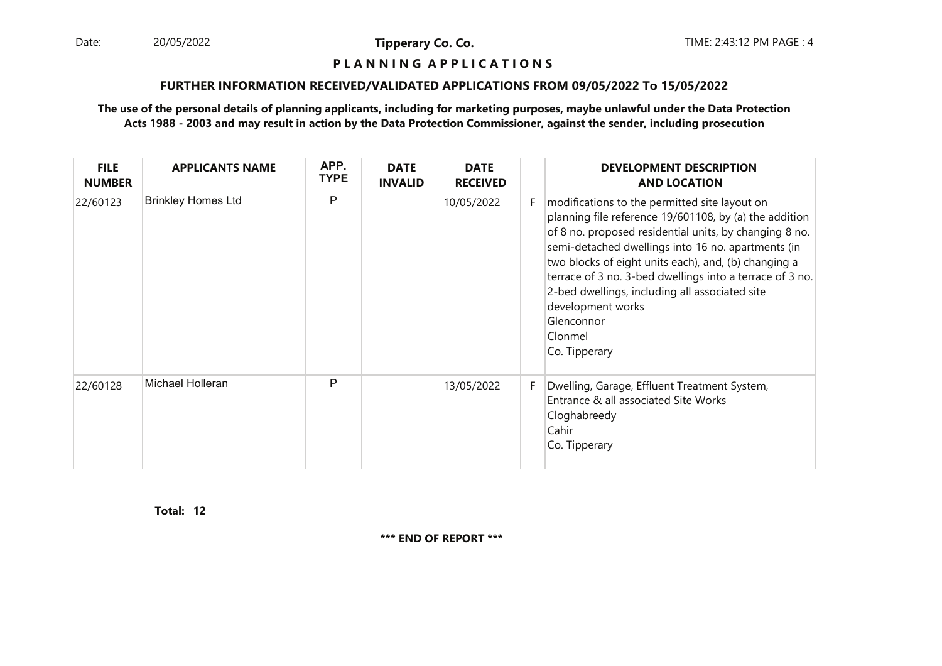Date: 20/05/2022 **Tipperary Co. Co. The Co. Co.** TIME: 2:43:12 PM PAGE : 4 20/05/2022

**Tipperary Co. Co.**

#### **P L A N N I N G A P P L I C A T I O N S**

#### **FURTHER INFORMATION RECEIVED/VALIDATED APPLICATIONS FROM 09/05/2022 To 15/05/2022**

#### **The use of the personal details of planning applicants, including for marketing purposes, maybe unlawful under the Data ProtectionActs 1988 - 2003 and may result in action by the Data Protection Commissioner, against the sender, including prosecution**

| <b>FILE</b><br><b>NUMBER</b> | <b>APPLICANTS NAME</b>    | APP.<br><b>TYPE</b> | <b>DATE</b><br><b>INVALID</b> | <b>DATE</b><br><b>RECEIVED</b> |    | <b>DEVELOPMENT DESCRIPTION</b><br><b>AND LOCATION</b>                                                                                                                                                                                                                                                                                                                                                                                                        |
|------------------------------|---------------------------|---------------------|-------------------------------|--------------------------------|----|--------------------------------------------------------------------------------------------------------------------------------------------------------------------------------------------------------------------------------------------------------------------------------------------------------------------------------------------------------------------------------------------------------------------------------------------------------------|
| 22/60123                     | <b>Brinkley Homes Ltd</b> | P                   |                               | 10/05/2022                     | F. | modifications to the permitted site layout on<br>planning file reference 19/601108, by (a) the addition<br>of 8 no. proposed residential units, by changing 8 no.<br>semi-detached dwellings into 16 no. apartments (in<br>two blocks of eight units each), and, (b) changing a<br>terrace of 3 no. 3-bed dwellings into a terrace of 3 no.<br>2-bed dwellings, including all associated site<br>development works<br>Glenconnor<br>Clonmel<br>Co. Tipperary |
| 22/60128                     | Michael Holleran          | P                   |                               | 13/05/2022                     | F. | Dwelling, Garage, Effluent Treatment System,<br>Entrance & all associated Site Works<br>Cloghabreedy<br>Cahir<br>Co. Tipperary                                                                                                                                                                                                                                                                                                                               |

**12Total:**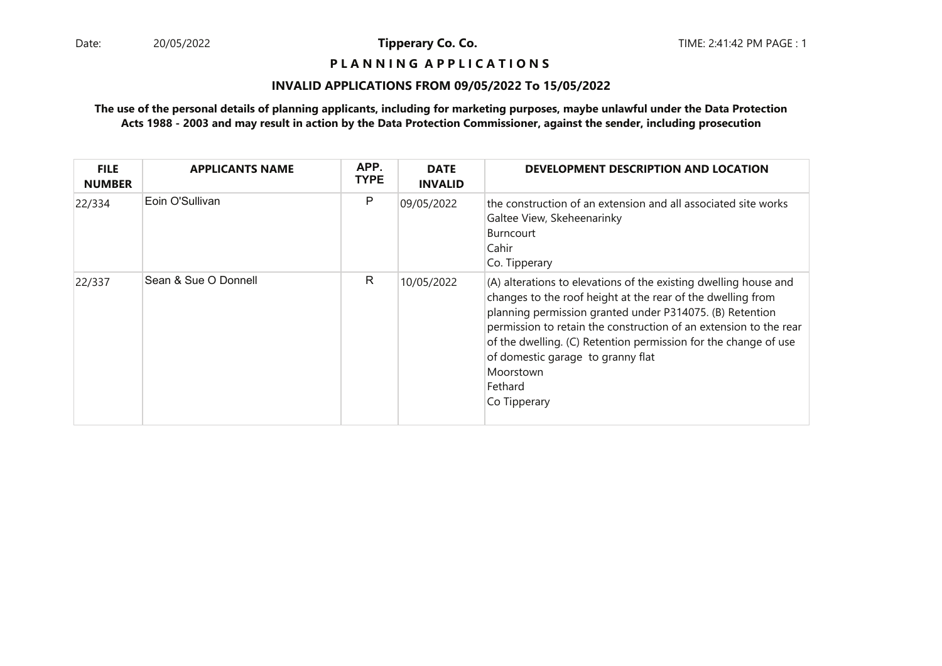## **P L A N N I N G A P P L I C A T I O N S**

#### **INVALID APPLICATIONS FROM 09/05/2022 To 15/05/2022**

| <b>FILE</b><br><b>NUMBER</b> | <b>APPLICANTS NAME</b> | APP.<br><b>TYPE</b> | <b>DATE</b><br><b>INVALID</b> | DEVELOPMENT DESCRIPTION AND LOCATION                                                                                                                                                                                                                                                                                                                                                                             |
|------------------------------|------------------------|---------------------|-------------------------------|------------------------------------------------------------------------------------------------------------------------------------------------------------------------------------------------------------------------------------------------------------------------------------------------------------------------------------------------------------------------------------------------------------------|
| 22/334                       | Eoin O'Sullivan        | P                   | 09/05/2022                    | the construction of an extension and all associated site works<br>Galtee View, Skeheenarinky<br><b>Burncourt</b><br>Cahir<br>Co. Tipperary                                                                                                                                                                                                                                                                       |
| 22/337                       | Sean & Sue O Donnell   | R                   | 10/05/2022                    | (A) alterations to elevations of the existing dwelling house and<br>changes to the roof height at the rear of the dwelling from<br>planning permission granted under P314075. (B) Retention<br>permission to retain the construction of an extension to the rear<br>of the dwelling. (C) Retention permission for the change of use<br>of domestic garage to granny flat<br>Moorstown<br>Fethard<br>Co Tipperary |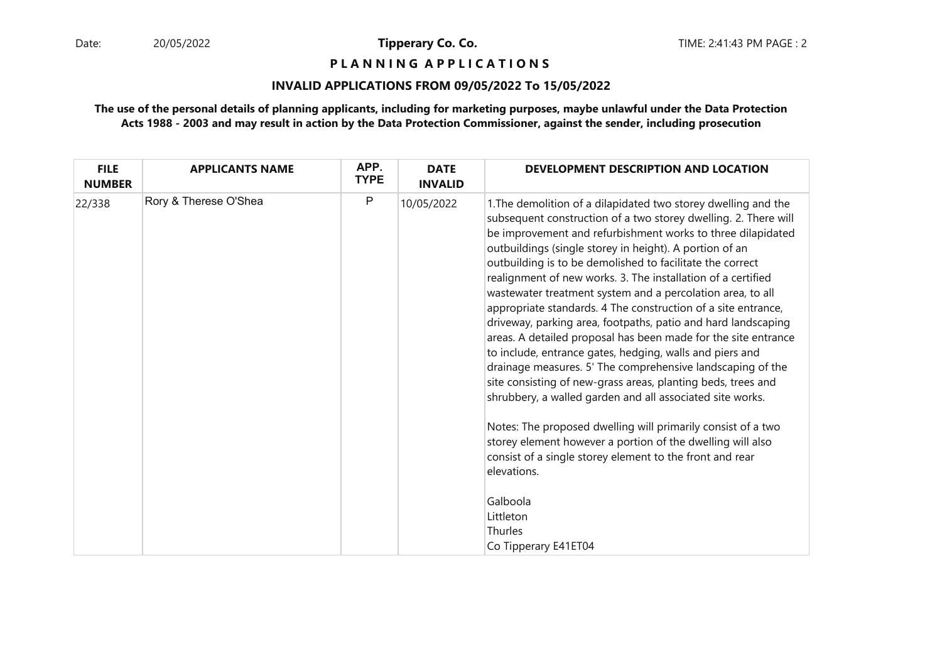**P L A N N I N G A P P L I C A T I O N S** 

#### **INVALID APPLICATIONS FROM 09/05/2022 To 15/05/2022**

| Rory & Therese O'Shea | $\mathsf{P}$ | 10/05/2022 |                                                                                                                                                                                                                                                                                                                                                                                                                                                                                                                                                                                                                                                                                                                                                                                                                                                                                                                   |
|-----------------------|--------------|------------|-------------------------------------------------------------------------------------------------------------------------------------------------------------------------------------------------------------------------------------------------------------------------------------------------------------------------------------------------------------------------------------------------------------------------------------------------------------------------------------------------------------------------------------------------------------------------------------------------------------------------------------------------------------------------------------------------------------------------------------------------------------------------------------------------------------------------------------------------------------------------------------------------------------------|
|                       |              |            | 1. The demolition of a dilapidated two storey dwelling and the<br>subsequent construction of a two storey dwelling. 2. There will<br>be improvement and refurbishment works to three dilapidated<br>outbuildings (single storey in height). A portion of an<br>outbuilding is to be demolished to facilitate the correct<br>realignment of new works. 3. The installation of a certified<br>wastewater treatment system and a percolation area, to all<br>appropriate standards. 4 The construction of a site entrance,<br>driveway, parking area, footpaths, patio and hard landscaping<br>areas. A detailed proposal has been made for the site entrance<br>to include, entrance gates, hedging, walls and piers and<br>drainage measures. 5' The comprehensive landscaping of the<br>site consisting of new-grass areas, planting beds, trees and<br>shrubbery, a walled garden and all associated site works. |
|                       |              |            | Notes: The proposed dwelling will primarily consist of a two<br>storey element however a portion of the dwelling will also<br>consist of a single storey element to the front and rear<br>elevations.<br>Galboola                                                                                                                                                                                                                                                                                                                                                                                                                                                                                                                                                                                                                                                                                                 |
|                       |              |            | Littleton<br>Thurles<br>Co Tipperary E41ET04                                                                                                                                                                                                                                                                                                                                                                                                                                                                                                                                                                                                                                                                                                                                                                                                                                                                      |
|                       |              |            |                                                                                                                                                                                                                                                                                                                                                                                                                                                                                                                                                                                                                                                                                                                                                                                                                                                                                                                   |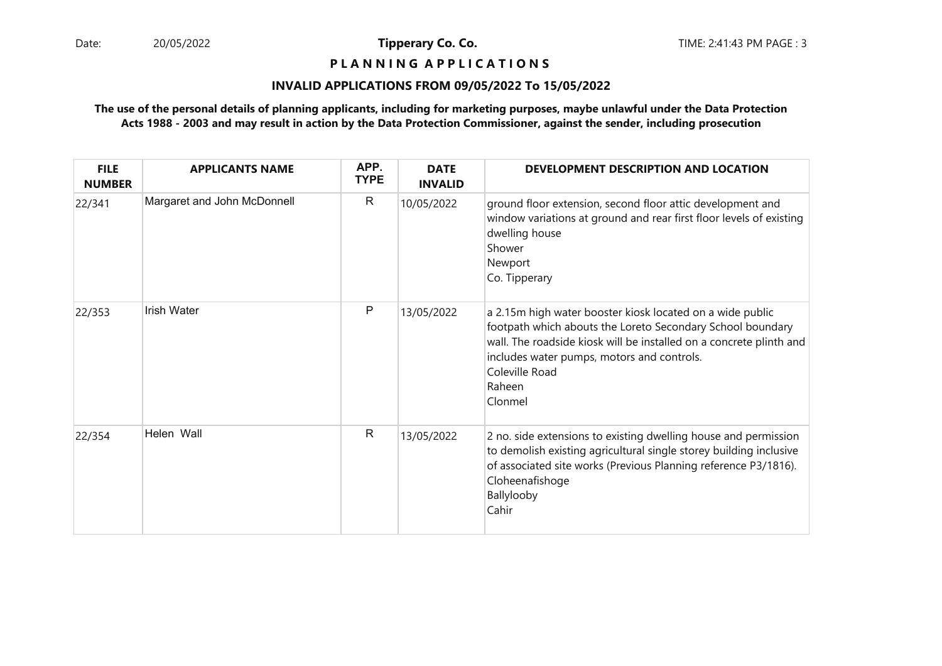## **P L A N N I N G A P P L I C A T I O N S**

#### **INVALID APPLICATIONS FROM 09/05/2022 To 15/05/2022**

| <b>FILE</b><br><b>NUMBER</b> | <b>APPLICANTS NAME</b>      | APP.<br><b>TYPE</b> | <b>DATE</b><br><b>INVALID</b> | DEVELOPMENT DESCRIPTION AND LOCATION                                                                                                                                                                                                                                                |
|------------------------------|-----------------------------|---------------------|-------------------------------|-------------------------------------------------------------------------------------------------------------------------------------------------------------------------------------------------------------------------------------------------------------------------------------|
| 22/341                       | Margaret and John McDonnell | R                   | 10/05/2022                    | ground floor extension, second floor attic development and<br>window variations at ground and rear first floor levels of existing<br>dwelling house<br>Shower<br>Newport<br>Co. Tipperary                                                                                           |
| 22/353                       | <b>Irish Water</b>          | P                   | 13/05/2022                    | a 2.15m high water booster kiosk located on a wide public<br>footpath which abouts the Loreto Secondary School boundary<br>wall. The roadside kiosk will be installed on a concrete plinth and<br>includes water pumps, motors and controls.<br>Coleville Road<br>Raheen<br>Clonmel |
| 22/354                       | Helen Wall                  | $\mathsf{R}$        | 13/05/2022                    | 2 no. side extensions to existing dwelling house and permission<br>to demolish existing agricultural single storey building inclusive<br>of associated site works (Previous Planning reference P3/1816).<br>Cloheenafishoge<br>Ballylooby<br>Cahir                                  |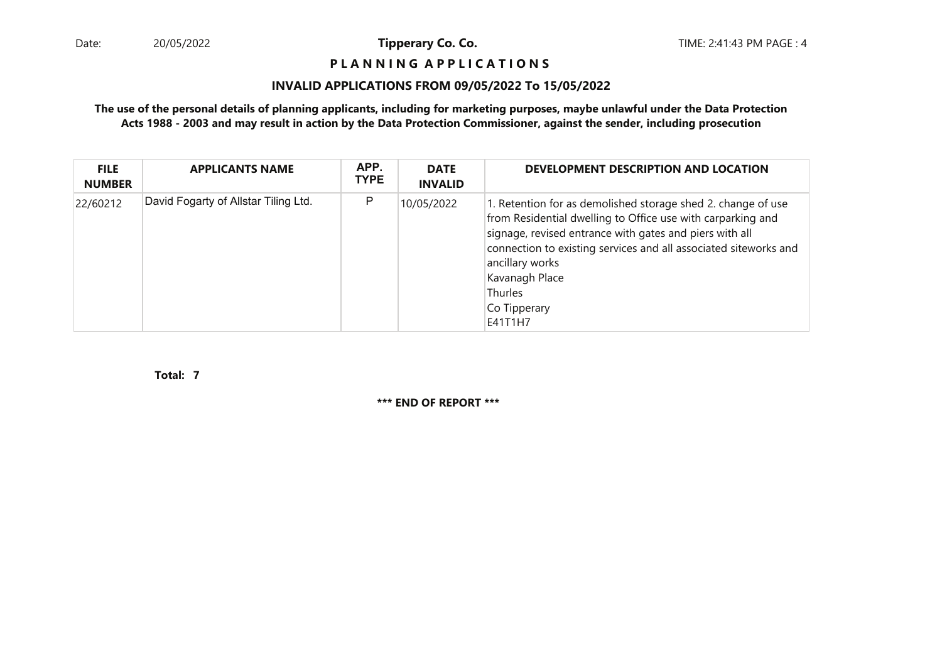# **P L A N N I N G A P P L I C A T I O N S**

#### **INVALID APPLICATIONS FROM 09/05/2022 To 15/05/2022**

### **The use of the personal details of planning applicants, including for marketing purposes, maybe unlawful under the Data ProtectionActs 1988 - 2003 and may result in action by the Data Protection Commissioner, against the sender, including prosecution**

| <b>FILE</b><br><b>NUMBER</b> | <b>APPLICANTS NAME</b>               | APP.<br><b>TYPE</b> | <b>DATE</b><br><b>INVALID</b> | DEVELOPMENT DESCRIPTION AND LOCATION                                                                                                                                                                                                                                                                                                         |
|------------------------------|--------------------------------------|---------------------|-------------------------------|----------------------------------------------------------------------------------------------------------------------------------------------------------------------------------------------------------------------------------------------------------------------------------------------------------------------------------------------|
| 22/60212                     | David Fogarty of Allstar Tiling Ltd. | P                   | 10/05/2022                    | 1. Retention for as demolished storage shed 2. change of use<br>from Residential dwelling to Office use with carparking and<br>signage, revised entrance with gates and piers with all<br>connection to existing services and all associated siteworks and<br>ancillary works<br>Kavanagh Place<br><b>Thurles</b><br>Co Tipperary<br>E41T1H7 |

**7Total:**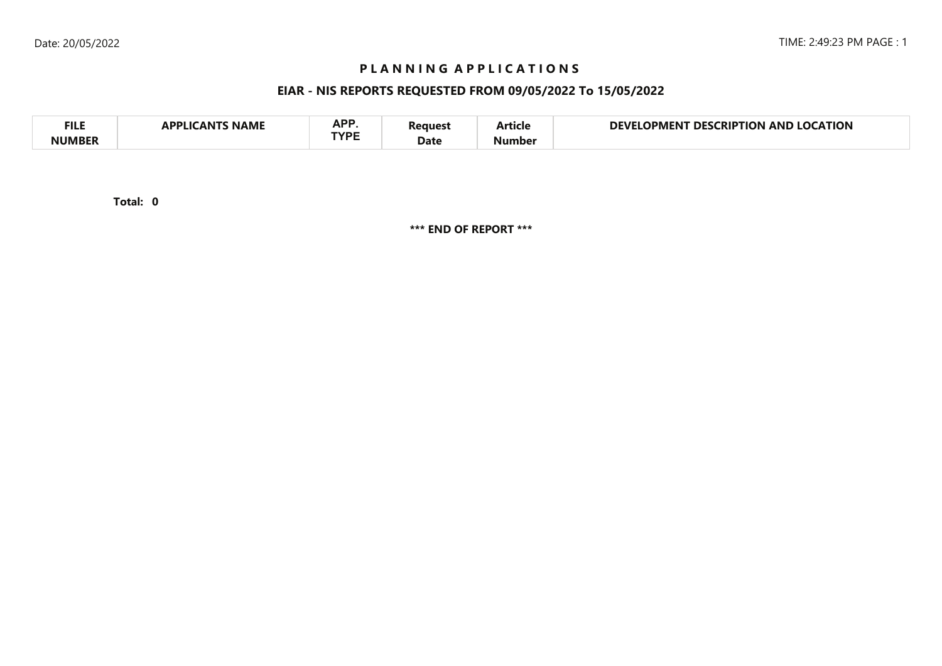# **P L A N N I N G A P P L I C A T I O N S**

# **EIAR - NIS REPORTS REQUESTED FROM 09/05/2022 To 15/05/2022**

| <b>FILE</b> | <b>NAME</b><br>A DDI IC<br>л NI | <b>ADD</b><br>NF I<br>TVDC | 'eaues' | - -<br>Article | <b>LOCATION</b><br>DEVI<br><b>LOCKIPTION</b><br>DES<br>OPMENT<br>AND |
|-------------|---------------------------------|----------------------------|---------|----------------|----------------------------------------------------------------------|
| NIIMRFR     |                                 |                            | Date    | Number         |                                                                      |

**0Total:**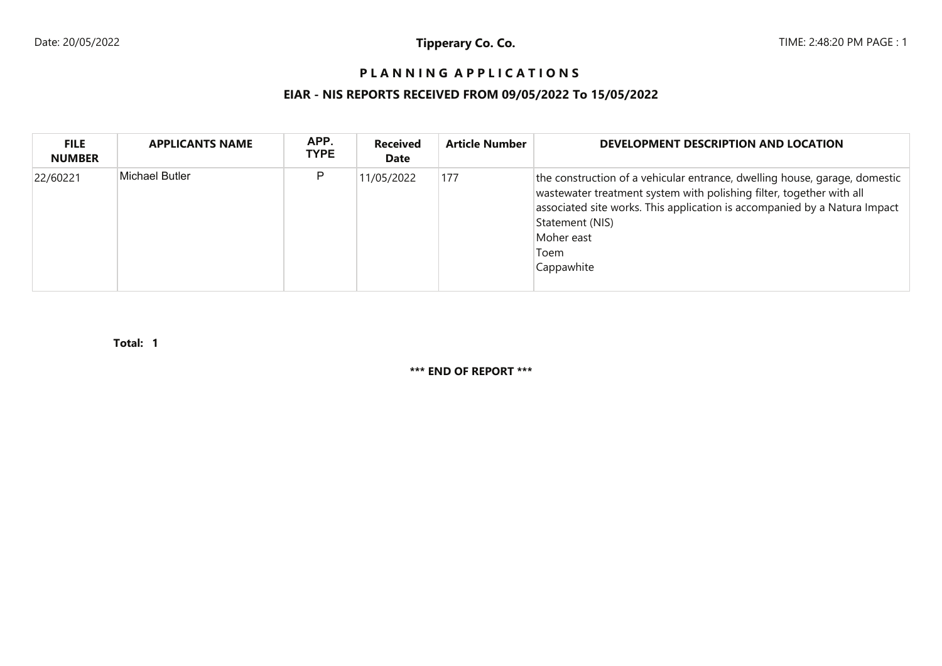# **P L A N N I N G A P P L I C A T I O N S**

# **EIAR - NIS REPORTS RECEIVED FROM 09/05/2022 To 15/05/2022**

| <b>FILE</b><br><b>NUMBER</b> | <b>APPLICANTS NAME</b> | APP.<br><b>TYPE</b> | <b>Received</b><br>Date | <b>Article Number</b> | DEVELOPMENT DESCRIPTION AND LOCATION                                                                                                                                                                                                                                                   |
|------------------------------|------------------------|---------------------|-------------------------|-----------------------|----------------------------------------------------------------------------------------------------------------------------------------------------------------------------------------------------------------------------------------------------------------------------------------|
| 22/60221                     | Michael Butler         | Р                   | 11/05/2022              | 177                   | the construction of a vehicular entrance, dwelling house, garage, domestic<br>wastewater treatment system with polishing filter, together with all<br>associated site works. This application is accompanied by a Natura Impact<br>Statement (NIS)<br>Moher east<br>Toem<br>Cappawhite |

**1Total:**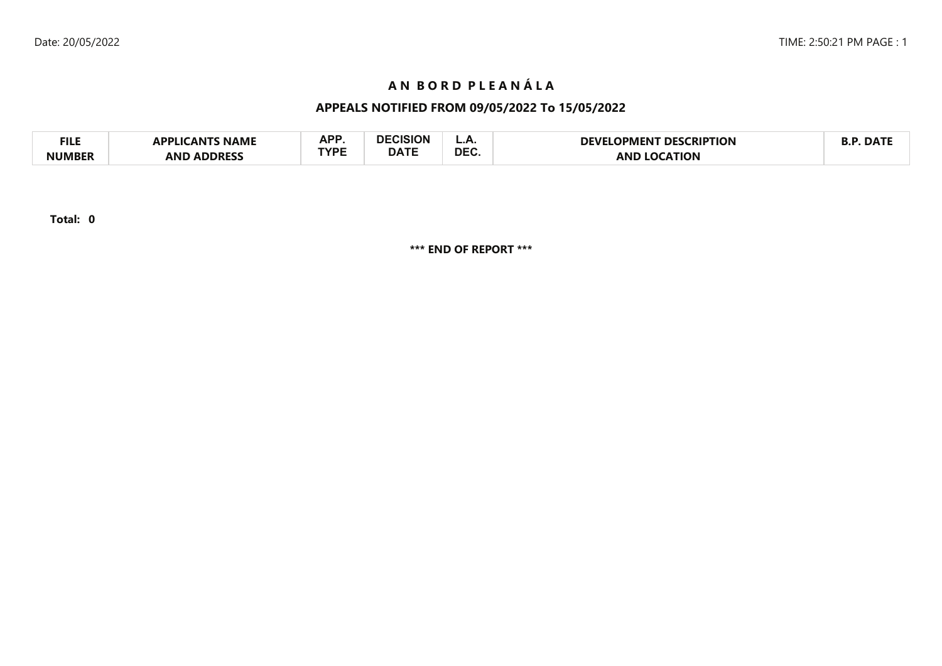# **A N B O R D P L E A N Á L A**

# **APPEALS NOTIFIED FROM 09/05/2022 To 15/05/2022**

| FILE          | <b>NAME</b><br><b>TICANTS</b><br>ומם | A DD | <b>ALCICION</b><br>יוטוסוטי | <u>.</u>   | <b>DESCRIPTION</b><br><b>DEVEL</b><br>OPMEN I. | $\blacksquare$ DAT |
|---------------|--------------------------------------|------|-----------------------------|------------|------------------------------------------------|--------------------|
| <b>NUMBER</b> | <b>ADDRESS</b><br>AND                | rvdc | <b>DATE</b>                 | <b>DEC</b> | <b>ATION</b><br>ANI                            |                    |

**Total: 0**